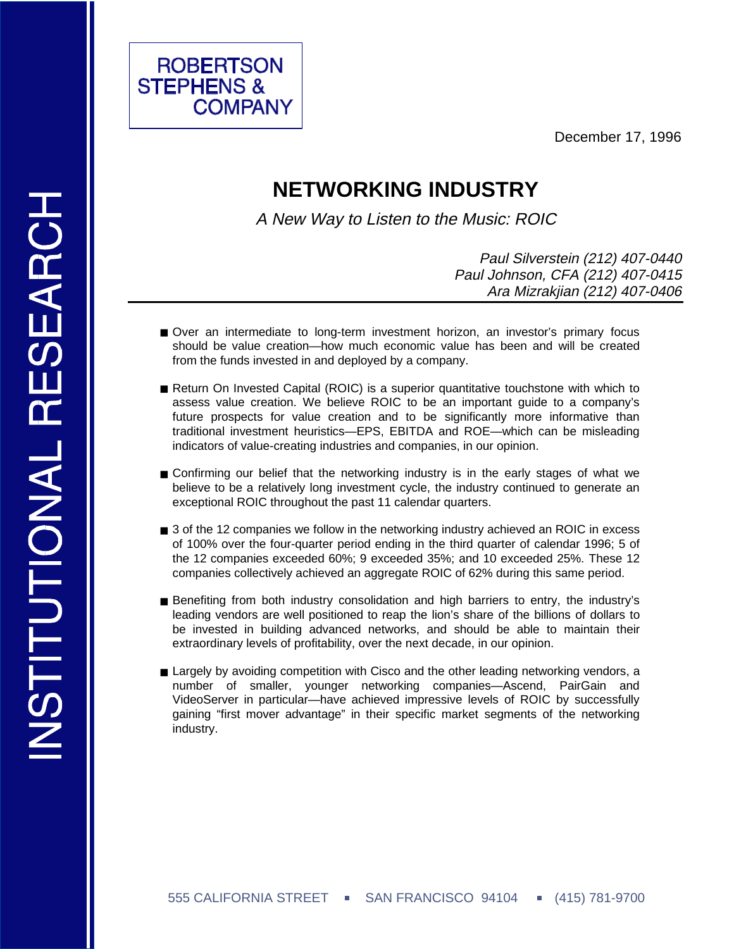December 17, 1996



# **NETWORKING INDUSTRY**

A New Way to Listen to the Music: ROIC

Paul Silverstein (212) 407-0440 Paul Johnson, CFA (212) 407-0415 Ara Mizrakjian (212) 407-0406

- Over an intermediate to long-term investment horizon, an investor's primary focus should be value creation—how much economic value has been and will be created from the funds invested in and deployed by a company.
- Return On Invested Capital (ROIC) is a superior quantitative touchstone with which to assess value creation. We believe ROIC to be an important guide to a company's future prospects for value creation and to be significantly more informative than traditional investment heuristics—EPS, EBITDA and ROE—which can be misleading indicators of value-creating industries and companies, in our opinion.
- Confirming our belief that the networking industry is in the early stages of what we believe to be a relatively long investment cycle, the industry continued to generate an exceptional ROIC throughout the past 11 calendar quarters.
- 3 of the 12 companies we follow in the networking industry achieved an ROIC in excess of 100% over the four-quarter period ending in the third quarter of calendar 1996; 5 of the 12 companies exceeded 60%; 9 exceeded 35%; and 10 exceeded 25%. These 12 companies collectively achieved an aggregate ROIC of 62% during this same period.
- Benefiting from both industry consolidation and high barriers to entry, the industry's leading vendors are well positioned to reap the lion's share of the billions of dollars to be invested in building advanced networks, and should be able to maintain their extraordinary levels of profitability, over the next decade, in our opinion.
- Largely by avoiding competition with Cisco and the other leading networking vendors, a number of smaller, younger networking companies—Ascend, PairGain and VideoServer in particular—have achieved impressive levels of ROIC by successfully gaining "first mover advantage" in their specific market segments of the networking industry.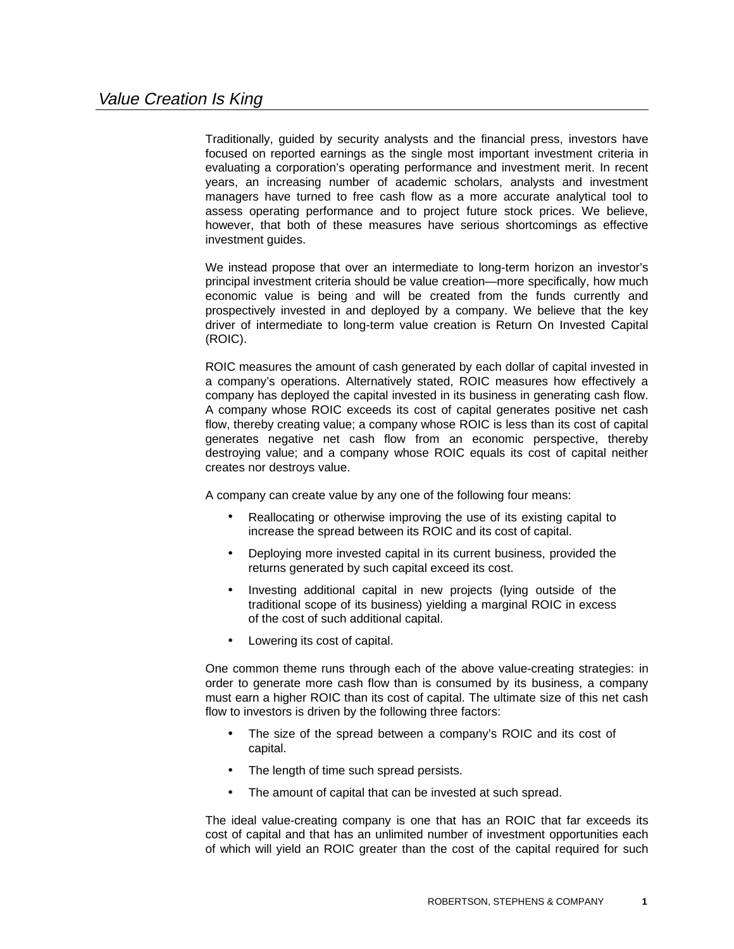Traditionally, guided by security analysts and the financial press, investors have focused on reported earnings as the single most important investment criteria in evaluating a corporation's operating performance and investment merit. In recent years, an increasing number of academic scholars, analysts and investment managers have turned to free cash flow as a more accurate analytical tool to assess operating performance and to project future stock prices. We believe, however, that both of these measures have serious shortcomings as effective investment quides.

We instead propose that over an intermediate to long-term horizon an investor's principal investment criteria should be value creation—more specifically, how much economic value is being and will be created from the funds currently and prospectively invested in and deployed by a company. We believe that the key driver of intermediate to long-term value creation is Return On Invested Capital (ROIC).

ROIC measures the amount of cash generated by each dollar of capital invested in a company's operations. Alternatively stated, ROIC measures how effectively a company has deployed the capital invested in its business in generating cash flow. A company whose ROIC exceeds its cost of capital generates positive net cash flow, thereby creating value; a company whose ROIC is less than its cost of capital generates negative net cash flow from an economic perspective, thereby destroying value; and a company whose ROIC equals its cost of capital neither creates nor destroys value.

A company can create value by any one of the following four means:

- Reallocating or otherwise improving the use of its existing capital to increase the spread between its ROIC and its cost of capital.
- Deploying more invested capital in its current business, provided the returns generated by such capital exceed its cost.
- Investing additional capital in new projects (lying outside of the traditional scope of its business) yielding a marginal ROIC in excess of the cost of such additional capital.
- Lowering its cost of capital.

One common theme runs through each of the above value-creating strategies: in order to generate more cash flow than is consumed by its business, a company must earn a higher ROIC than its cost of capital. The ultimate size of this net cash flow to investors is driven by the following three factors:

- The size of the spread between a company's ROIC and its cost of capital.
- The length of time such spread persists.
- The amount of capital that can be invested at such spread.

The ideal value-creating company is one that has an ROIC that far exceeds its cost of capital and that has an unlimited number of investment opportunities each of which will yield an ROIC greater than the cost of the capital required for such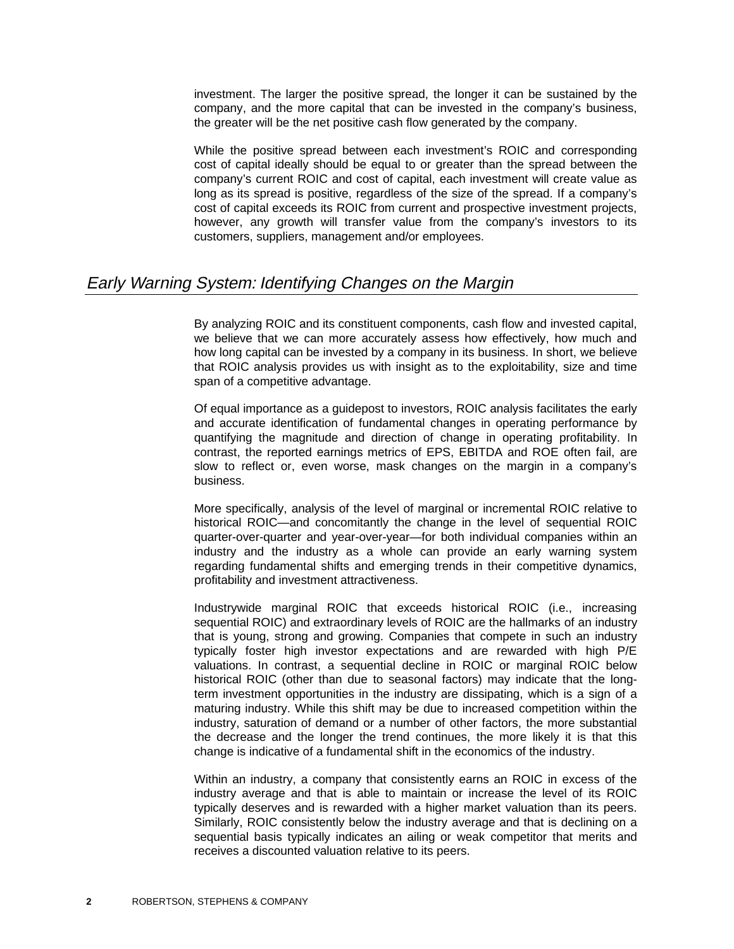investment. The larger the positive spread, the longer it can be sustained by the company, and the more capital that can be invested in the company's business, the greater will be the net positive cash flow generated by the company.

While the positive spread between each investment's ROIC and corresponding cost of capital ideally should be equal to or greater than the spread between the company's current ROIC and cost of capital, each investment will create value as long as its spread is positive, regardless of the size of the spread. If a company's cost of capital exceeds its ROIC from current and prospective investment projects, however, any growth will transfer value from the company's investors to its customers, suppliers, management and/or employees.

### Early Warning System: Identifying Changes on the Margin

By analyzing ROIC and its constituent components, cash flow and invested capital, we believe that we can more accurately assess how effectively, how much and how long capital can be invested by a company in its business. In short, we believe that ROIC analysis provides us with insight as to the exploitability, size and time span of a competitive advantage.

Of equal importance as a guidepost to investors, ROIC analysis facilitates the early and accurate identification of fundamental changes in operating performance by quantifying the magnitude and direction of change in operating profitability. In contrast, the reported earnings metrics of EPS, EBITDA and ROE often fail, are slow to reflect or, even worse, mask changes on the margin in a company's business.

More specifically, analysis of the level of marginal or incremental ROIC relative to historical ROIC—and concomitantly the change in the level of sequential ROIC quarter-over-quarter and year-over-year—for both individual companies within an industry and the industry as a whole can provide an early warning system regarding fundamental shifts and emerging trends in their competitive dynamics, profitability and investment attractiveness.

Industrywide marginal ROIC that exceeds historical ROIC (i.e., increasing sequential ROIC) and extraordinary levels of ROIC are the hallmarks of an industry that is young, strong and growing. Companies that compete in such an industry typically foster high investor expectations and are rewarded with high P/E valuations. In contrast, a sequential decline in ROIC or marginal ROIC below historical ROIC (other than due to seasonal factors) may indicate that the longterm investment opportunities in the industry are dissipating, which is a sign of a maturing industry. While this shift may be due to increased competition within the industry, saturation of demand or a number of other factors, the more substantial the decrease and the longer the trend continues, the more likely it is that this change is indicative of a fundamental shift in the economics of the industry.

Within an industry, a company that consistently earns an ROIC in excess of the industry average and that is able to maintain or increase the level of its ROIC typically deserves and is rewarded with a higher market valuation than its peers. Similarly, ROIC consistently below the industry average and that is declining on a sequential basis typically indicates an ailing or weak competitor that merits and receives a discounted valuation relative to its peers.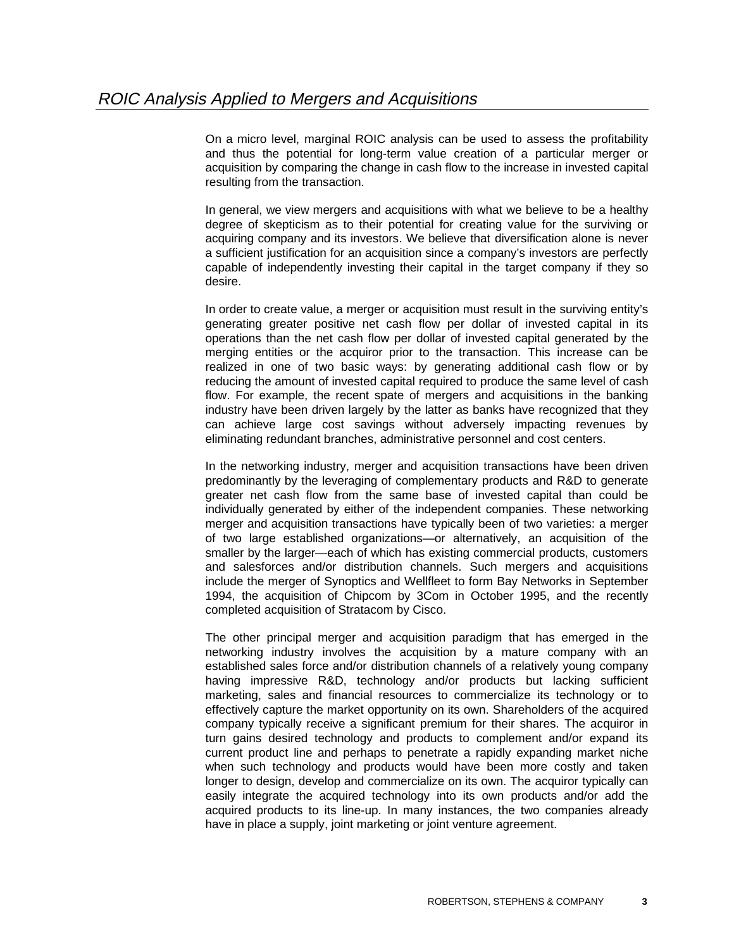On a micro level, marginal ROIC analysis can be used to assess the profitability and thus the potential for long-term value creation of a particular merger or acquisition by comparing the change in cash flow to the increase in invested capital resulting from the transaction.

In general, we view mergers and acquisitions with what we believe to be a healthy degree of skepticism as to their potential for creating value for the surviving or acquiring company and its investors. We believe that diversification alone is never a sufficient justification for an acquisition since a company's investors are perfectly capable of independently investing their capital in the target company if they so desire.

In order to create value, a merger or acquisition must result in the surviving entity's generating greater positive net cash flow per dollar of invested capital in its operations than the net cash flow per dollar of invested capital generated by the merging entities or the acquiror prior to the transaction. This increase can be realized in one of two basic ways: by generating additional cash flow or by reducing the amount of invested capital required to produce the same level of cash flow. For example, the recent spate of mergers and acquisitions in the banking industry have been driven largely by the latter as banks have recognized that they can achieve large cost savings without adversely impacting revenues by eliminating redundant branches, administrative personnel and cost centers.

In the networking industry, merger and acquisition transactions have been driven predominantly by the leveraging of complementary products and R&D to generate greater net cash flow from the same base of invested capital than could be individually generated by either of the independent companies. These networking merger and acquisition transactions have typically been of two varieties: a merger of two large established organizations—or alternatively, an acquisition of the smaller by the larger—each of which has existing commercial products, customers and salesforces and/or distribution channels. Such mergers and acquisitions include the merger of Synoptics and Wellfleet to form Bay Networks in September 1994, the acquisition of Chipcom by 3Com in October 1995, and the recently completed acquisition of Stratacom by Cisco.

The other principal merger and acquisition paradigm that has emerged in the networking industry involves the acquisition by a mature company with an established sales force and/or distribution channels of a relatively young company having impressive R&D, technology and/or products but lacking sufficient marketing, sales and financial resources to commercialize its technology or to effectively capture the market opportunity on its own. Shareholders of the acquired company typically receive a significant premium for their shares. The acquiror in turn gains desired technology and products to complement and/or expand its current product line and perhaps to penetrate a rapidly expanding market niche when such technology and products would have been more costly and taken longer to design, develop and commercialize on its own. The acquiror typically can easily integrate the acquired technology into its own products and/or add the acquired products to its line-up. In many instances, the two companies already have in place a supply, joint marketing or joint venture agreement.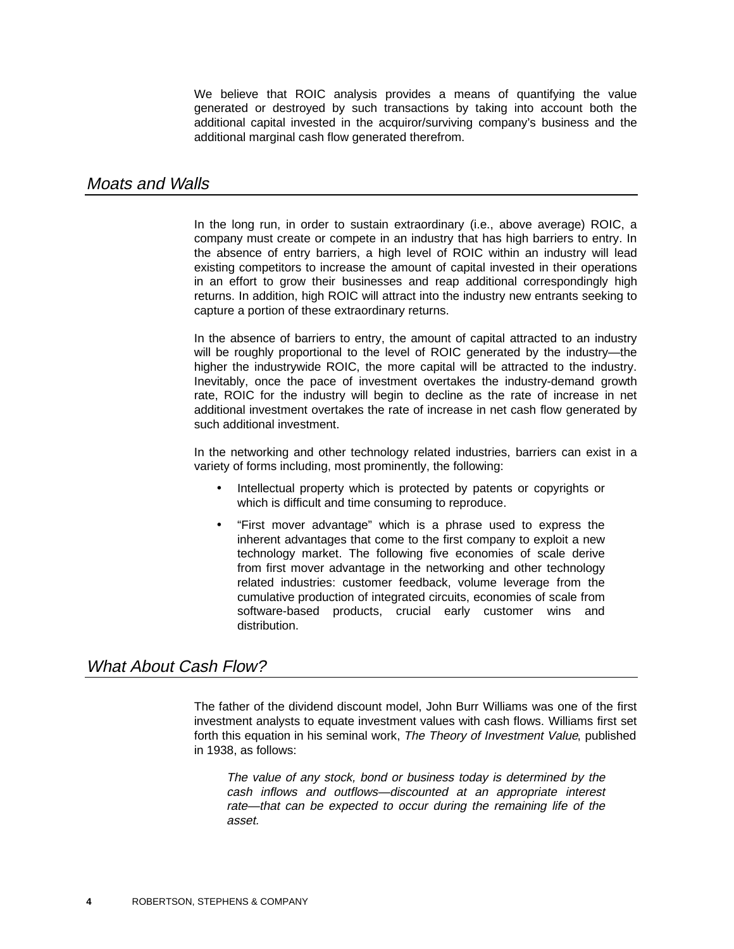We believe that ROIC analysis provides a means of quantifying the value generated or destroyed by such transactions by taking into account both the additional capital invested in the acquiror/surviving company's business and the additional marginal cash flow generated therefrom.

### Moats and Walls

In the long run, in order to sustain extraordinary (i.e., above average) ROIC, a company must create or compete in an industry that has high barriers to entry. In the absence of entry barriers, a high level of ROIC within an industry will lead existing competitors to increase the amount of capital invested in their operations in an effort to grow their businesses and reap additional correspondingly high returns. In addition, high ROIC will attract into the industry new entrants seeking to capture a portion of these extraordinary returns.

In the absence of barriers to entry, the amount of capital attracted to an industry will be roughly proportional to the level of ROIC generated by the industry—the higher the industrywide ROIC, the more capital will be attracted to the industry. Inevitably, once the pace of investment overtakes the industry-demand growth rate, ROIC for the industry will begin to decline as the rate of increase in net additional investment overtakes the rate of increase in net cash flow generated by such additional investment.

In the networking and other technology related industries, barriers can exist in a variety of forms including, most prominently, the following:

- Intellectual property which is protected by patents or copyrights or which is difficult and time consuming to reproduce.
- "First mover advantage" which is a phrase used to express the inherent advantages that come to the first company to exploit a new technology market. The following five economies of scale derive from first mover advantage in the networking and other technology related industries: customer feedback, volume leverage from the cumulative production of integrated circuits, economies of scale from software-based products, crucial early customer wins and distribution.

### What About Cash Flow?

The father of the dividend discount model, John Burr Williams was one of the first investment analysts to equate investment values with cash flows. Williams first set forth this equation in his seminal work, The Theory of Investment Value, published in 1938, as follows:

The value of any stock, bond or business today is determined by the cash inflows and outflows—discounted at an appropriate interest rate—that can be expected to occur during the remaining life of the asset.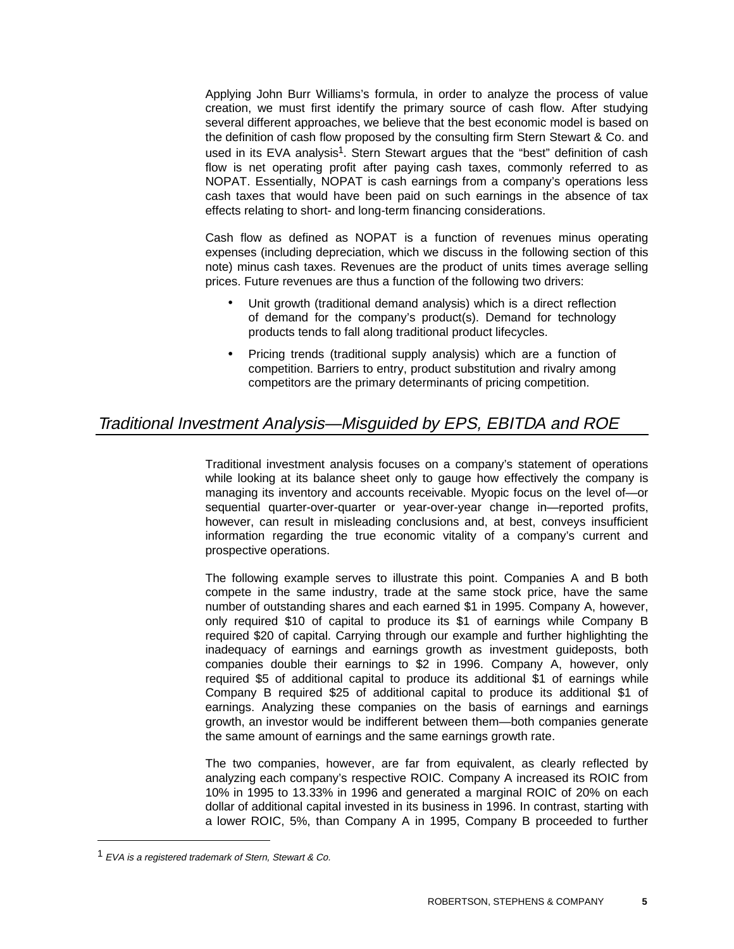Applying John Burr Williams's formula, in order to analyze the process of value creation, we must first identify the primary source of cash flow. After studying several different approaches, we believe that the best economic model is based on the definition of cash flow proposed by the consulting firm Stern Stewart & Co. and used in its EVA analysis<sup>1</sup>. Stern Stewart argues that the "best" definition of cash flow is net operating profit after paying cash taxes, commonly referred to as NOPAT. Essentially, NOPAT is cash earnings from a company's operations less cash taxes that would have been paid on such earnings in the absence of tax effects relating to short- and long-term financing considerations.

Cash flow as defined as NOPAT is a function of revenues minus operating expenses (including depreciation, which we discuss in the following section of this note) minus cash taxes. Revenues are the product of units times average selling prices. Future revenues are thus a function of the following two drivers:

- Unit growth (traditional demand analysis) which is a direct reflection of demand for the company's product(s). Demand for technology products tends to fall along traditional product lifecycles.
- Pricing trends (traditional supply analysis) which are a function of competition. Barriers to entry, product substitution and rivalry among competitors are the primary determinants of pricing competition.

# Traditional Investment Analysis—Misguided by EPS, EBITDA and ROE

Traditional investment analysis focuses on a company's statement of operations while looking at its balance sheet only to gauge how effectively the company is managing its inventory and accounts receivable. Myopic focus on the level of—or sequential quarter-over-quarter or year-over-year change in—reported profits, however, can result in misleading conclusions and, at best, conveys insufficient information regarding the true economic vitality of a company's current and prospective operations.

The following example serves to illustrate this point. Companies A and B both compete in the same industry, trade at the same stock price, have the same number of outstanding shares and each earned \$1 in 1995. Company A, however, only required \$10 of capital to produce its \$1 of earnings while Company B required \$20 of capital. Carrying through our example and further highlighting the inadequacy of earnings and earnings growth as investment guideposts, both companies double their earnings to \$2 in 1996. Company A, however, only required \$5 of additional capital to produce its additional \$1 of earnings while Company B required \$25 of additional capital to produce its additional \$1 of earnings. Analyzing these companies on the basis of earnings and earnings growth, an investor would be indifferent between them—both companies generate the same amount of earnings and the same earnings growth rate.

The two companies, however, are far from equivalent, as clearly reflected by analyzing each company's respective ROIC. Company A increased its ROIC from 10% in 1995 to 13.33% in 1996 and generated a marginal ROIC of 20% on each dollar of additional capital invested in its business in 1996. In contrast, starting with a lower ROIC, 5%, than Company A in 1995, Company B proceeded to further

-

 $1$  EVA is a registered trademark of Stern, Stewart & Co.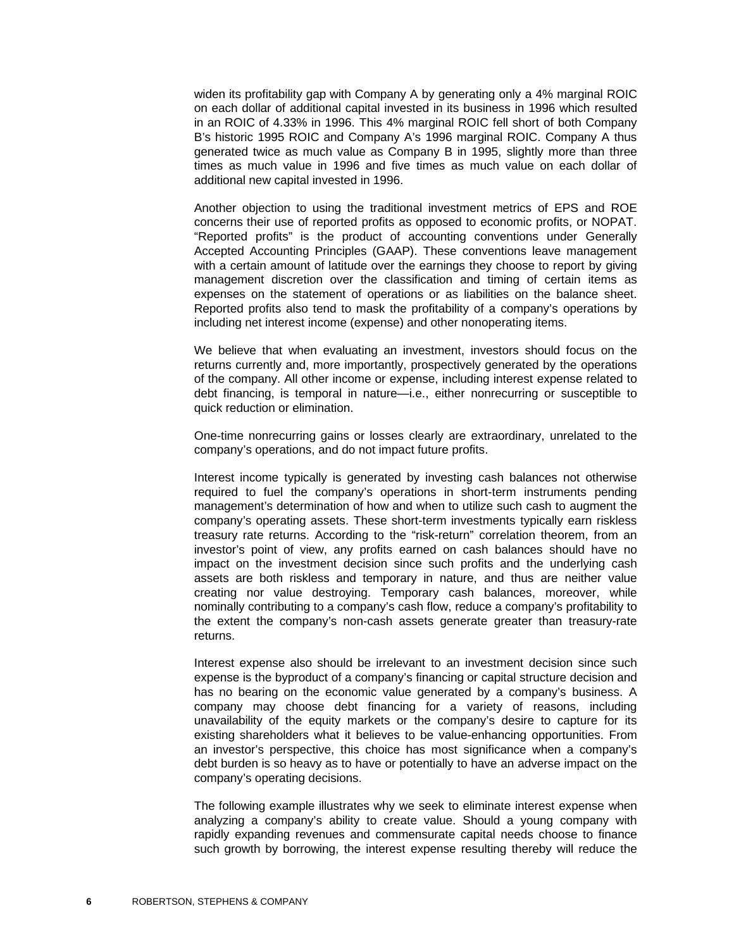widen its profitability gap with Company A by generating only a 4% marginal ROIC on each dollar of additional capital invested in its business in 1996 which resulted in an ROIC of 4.33% in 1996. This 4% marginal ROIC fell short of both Company B's historic 1995 ROIC and Company A's 1996 marginal ROIC. Company A thus generated twice as much value as Company B in 1995, slightly more than three times as much value in 1996 and five times as much value on each dollar of additional new capital invested in 1996.

Another objection to using the traditional investment metrics of EPS and ROE concerns their use of reported profits as opposed to economic profits, or NOPAT. "Reported profits" is the product of accounting conventions under Generally Accepted Accounting Principles (GAAP). These conventions leave management with a certain amount of latitude over the earnings they choose to report by giving management discretion over the classification and timing of certain items as expenses on the statement of operations or as liabilities on the balance sheet. Reported profits also tend to mask the profitability of a company's operations by including net interest income (expense) and other nonoperating items.

We believe that when evaluating an investment, investors should focus on the returns currently and, more importantly, prospectively generated by the operations of the company. All other income or expense, including interest expense related to debt financing, is temporal in nature—i.e., either nonrecurring or susceptible to quick reduction or elimination.

One-time nonrecurring gains or losses clearly are extraordinary, unrelated to the company's operations, and do not impact future profits.

Interest income typically is generated by investing cash balances not otherwise required to fuel the company's operations in short-term instruments pending management's determination of how and when to utilize such cash to augment the company's operating assets. These short-term investments typically earn riskless treasury rate returns. According to the "risk-return" correlation theorem, from an investor's point of view, any profits earned on cash balances should have no impact on the investment decision since such profits and the underlying cash assets are both riskless and temporary in nature, and thus are neither value creating nor value destroying. Temporary cash balances, moreover, while nominally contributing to a company's cash flow, reduce a company's profitability to the extent the company's non-cash assets generate greater than treasury-rate returns.

Interest expense also should be irrelevant to an investment decision since such expense is the byproduct of a company's financing or capital structure decision and has no bearing on the economic value generated by a company's business. A company may choose debt financing for a variety of reasons, including unavailability of the equity markets or the company's desire to capture for its existing shareholders what it believes to be value-enhancing opportunities. From an investor's perspective, this choice has most significance when a company's debt burden is so heavy as to have or potentially to have an adverse impact on the company's operating decisions.

The following example illustrates why we seek to eliminate interest expense when analyzing a company's ability to create value. Should a young company with rapidly expanding revenues and commensurate capital needs choose to finance such growth by borrowing, the interest expense resulting thereby will reduce the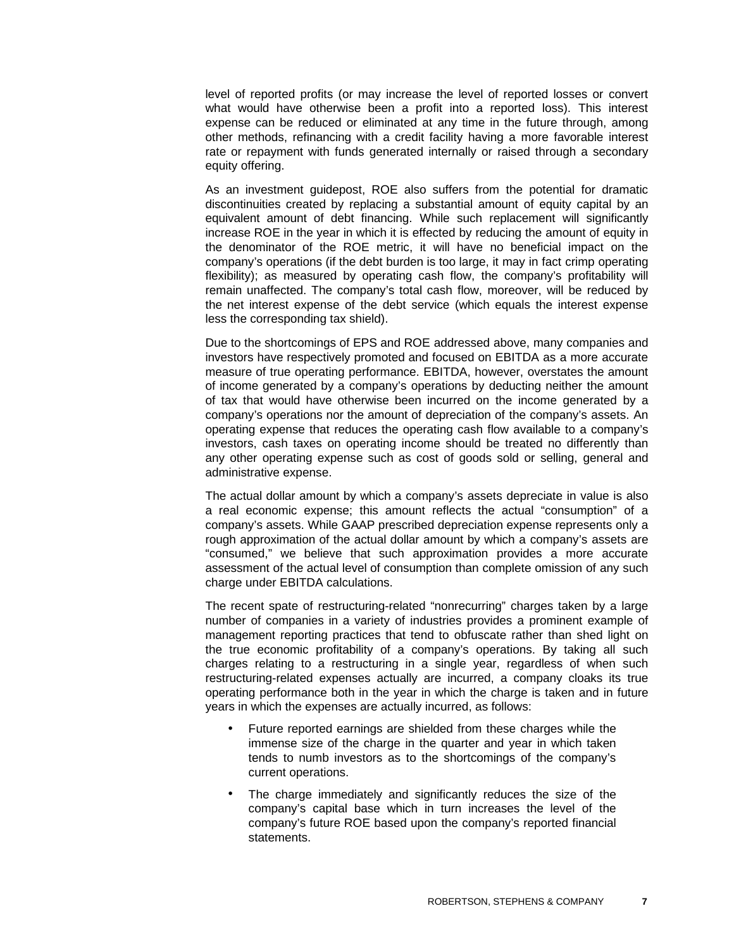level of reported profits (or may increase the level of reported losses or convert what would have otherwise been a profit into a reported loss). This interest expense can be reduced or eliminated at any time in the future through, among other methods, refinancing with a credit facility having a more favorable interest rate or repayment with funds generated internally or raised through a secondary equity offering.

As an investment guidepost, ROE also suffers from the potential for dramatic discontinuities created by replacing a substantial amount of equity capital by an equivalent amount of debt financing. While such replacement will significantly increase ROE in the year in which it is effected by reducing the amount of equity in the denominator of the ROE metric, it will have no beneficial impact on the company's operations (if the debt burden is too large, it may in fact crimp operating flexibility); as measured by operating cash flow, the company's profitability will remain unaffected. The company's total cash flow, moreover, will be reduced by the net interest expense of the debt service (which equals the interest expense less the corresponding tax shield).

Due to the shortcomings of EPS and ROE addressed above, many companies and investors have respectively promoted and focused on EBITDA as a more accurate measure of true operating performance. EBITDA, however, overstates the amount of income generated by a company's operations by deducting neither the amount of tax that would have otherwise been incurred on the income generated by a company's operations nor the amount of depreciation of the company's assets. An operating expense that reduces the operating cash flow available to a company's investors, cash taxes on operating income should be treated no differently than any other operating expense such as cost of goods sold or selling, general and administrative expense.

The actual dollar amount by which a company's assets depreciate in value is also a real economic expense; this amount reflects the actual "consumption" of a company's assets. While GAAP prescribed depreciation expense represents only a rough approximation of the actual dollar amount by which a company's assets are "consumed," we believe that such approximation provides a more accurate assessment of the actual level of consumption than complete omission of any such charge under EBITDA calculations.

The recent spate of restructuring-related "nonrecurring" charges taken by a large number of companies in a variety of industries provides a prominent example of management reporting practices that tend to obfuscate rather than shed light on the true economic profitability of a company's operations. By taking all such charges relating to a restructuring in a single year, regardless of when such restructuring-related expenses actually are incurred, a company cloaks its true operating performance both in the year in which the charge is taken and in future years in which the expenses are actually incurred, as follows:

- Future reported earnings are shielded from these charges while the immense size of the charge in the quarter and year in which taken tends to numb investors as to the shortcomings of the company's current operations.
- The charge immediately and significantly reduces the size of the company's capital base which in turn increases the level of the company's future ROE based upon the company's reported financial statements.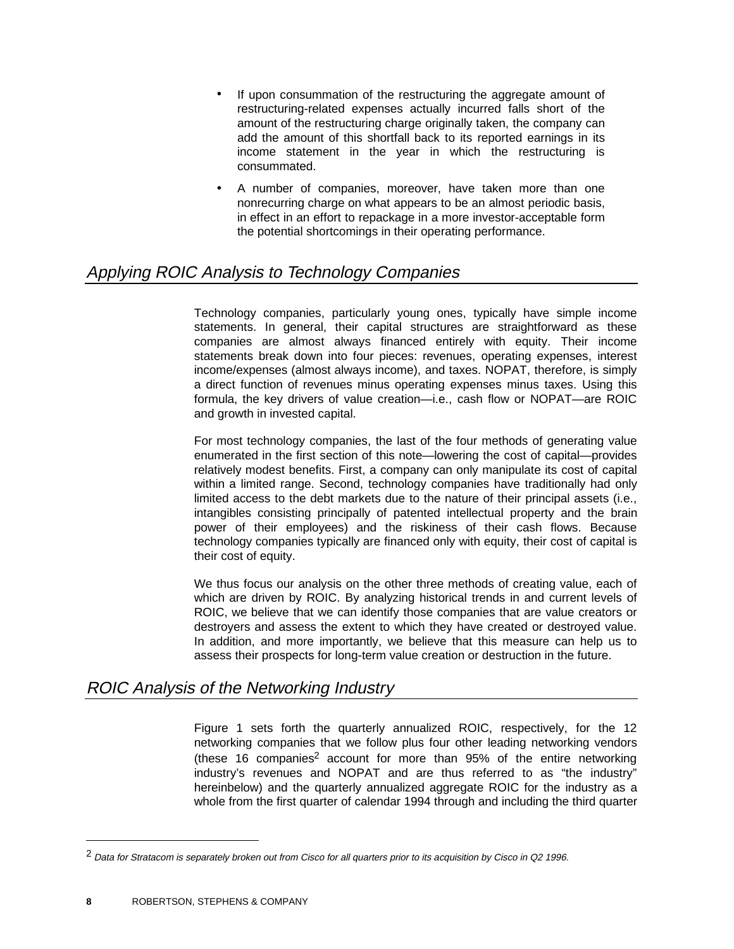- If upon consummation of the restructuring the aggregate amount of restructuring-related expenses actually incurred falls short of the amount of the restructuring charge originally taken, the company can add the amount of this shortfall back to its reported earnings in its income statement in the year in which the restructuring is consummated.
- A number of companies, moreover, have taken more than one nonrecurring charge on what appears to be an almost periodic basis, in effect in an effort to repackage in a more investor-acceptable form the potential shortcomings in their operating performance.

# Applying ROIC Analysis to Technology Companies

Technology companies, particularly young ones, typically have simple income statements. In general, their capital structures are straightforward as these companies are almost always financed entirely with equity. Their income statements break down into four pieces: revenues, operating expenses, interest income/expenses (almost always income), and taxes. NOPAT, therefore, is simply a direct function of revenues minus operating expenses minus taxes. Using this formula, the key drivers of value creation—i.e., cash flow or NOPAT—are ROIC and growth in invested capital.

For most technology companies, the last of the four methods of generating value enumerated in the first section of this note—lowering the cost of capital—provides relatively modest benefits. First, a company can only manipulate its cost of capital within a limited range. Second, technology companies have traditionally had only limited access to the debt markets due to the nature of their principal assets (i.e., intangibles consisting principally of patented intellectual property and the brain power of their employees) and the riskiness of their cash flows. Because technology companies typically are financed only with equity, their cost of capital is their cost of equity.

We thus focus our analysis on the other three methods of creating value, each of which are driven by ROIC. By analyzing historical trends in and current levels of ROIC, we believe that we can identify those companies that are value creators or destroyers and assess the extent to which they have created or destroyed value. In addition, and more importantly, we believe that this measure can help us to assess their prospects for long-term value creation or destruction in the future.

# ROIC Analysis of the Networking Industry

Figure 1 sets forth the quarterly annualized ROIC, respectively, for the 12 networking companies that we follow plus four other leading networking vendors (these 16 companies<sup>2</sup> account for more than  $95%$  of the entire networking industry's revenues and NOPAT and are thus referred to as "the industry" hereinbelow) and the quarterly annualized aggregate ROIC for the industry as a whole from the first quarter of calendar 1994 through and including the third quarter

-

 $2$  Data for Stratacom is separately broken out from Cisco for all quarters prior to its acquisition by Cisco in Q2 1996.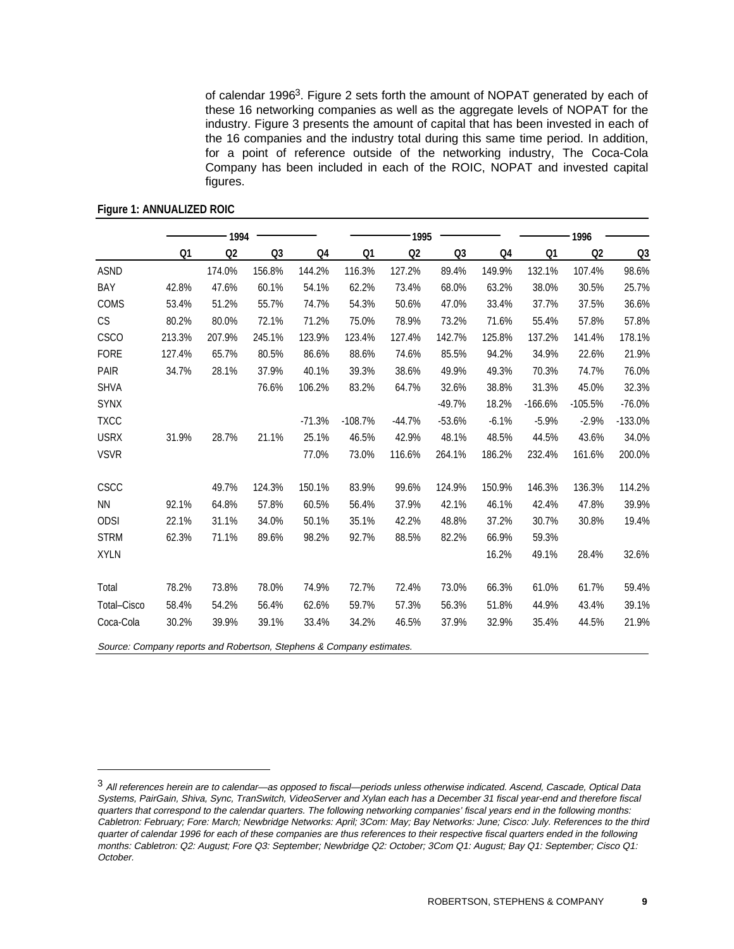of calendar 1996<sup>3</sup>. Figure 2 sets forth the amount of NOPAT generated by each of these 16 networking companies as well as the aggregate levels of NOPAT for the industry. Figure 3 presents the amount of capital that has been invested in each of the 16 companies and the industry total during this same time period. In addition, for a point of reference outside of the networking industry, The Coca-Cola Company has been included in each of the ROIC, NOPAT and invested capital figures.

| <b>Figure 1: ANNUALIZED ROIC</b> |  |  |  |  |  |  |
|----------------------------------|--|--|--|--|--|--|
|----------------------------------|--|--|--|--|--|--|

-

|                                                                      | 1994   |                |        |          | 1995      |                |          |         | 1996      |                |           |  |
|----------------------------------------------------------------------|--------|----------------|--------|----------|-----------|----------------|----------|---------|-----------|----------------|-----------|--|
|                                                                      | Q1     | Q <sub>2</sub> | Q3     | Q4       | Q1        | Q <sub>2</sub> | Q3       | Q4      | Q1        | Q <sub>2</sub> | Q3        |  |
| ASND                                                                 |        | 174.0%         | 156.8% | 144.2%   | 116.3%    | 127.2%         | 89.4%    | 149.9%  | 132.1%    | 107.4%         | 98.6%     |  |
| BAY                                                                  | 42.8%  | 47.6%          | 60.1%  | 54.1%    | 62.2%     | 73.4%          | 68.0%    | 63.2%   | 38.0%     | 30.5%          | 25.7%     |  |
| COMS                                                                 | 53.4%  | 51.2%          | 55.7%  | 74.7%    | 54.3%     | 50.6%          | 47.0%    | 33.4%   | 37.7%     | 37.5%          | 36.6%     |  |
| CS                                                                   | 80.2%  | 80.0%          | 72.1%  | 71.2%    | 75.0%     | 78.9%          | 73.2%    | 71.6%   | 55.4%     | 57.8%          | 57.8%     |  |
| CSCO                                                                 | 213.3% | 207.9%         | 245.1% | 123.9%   | 123.4%    | 127.4%         | 142.7%   | 125.8%  | 137.2%    | 141.4%         | 178.1%    |  |
| <b>FORE</b>                                                          | 127.4% | 65.7%          | 80.5%  | 86.6%    | 88.6%     | 74.6%          | 85.5%    | 94.2%   | 34.9%     | 22.6%          | 21.9%     |  |
| PAIR                                                                 | 34.7%  | 28.1%          | 37.9%  | 40.1%    | 39.3%     | 38.6%          | 49.9%    | 49.3%   | 70.3%     | 74.7%          | 76.0%     |  |
| <b>SHVA</b>                                                          |        |                | 76.6%  | 106.2%   | 83.2%     | 64.7%          | 32.6%    | 38.8%   | 31.3%     | 45.0%          | 32.3%     |  |
| <b>SYNX</b>                                                          |        |                |        |          |           |                | -49.7%   | 18.2%   | $-166.6%$ | $-105.5%$      | $-76.0%$  |  |
| <b>TXCC</b>                                                          |        |                |        | $-71.3%$ | $-108.7%$ | $-44.7%$       | $-53.6%$ | $-6.1%$ | $-5.9%$   | $-2.9%$        | $-133.0%$ |  |
| <b>USRX</b>                                                          | 31.9%  | 28.7%          | 21.1%  | 25.1%    | 46.5%     | 42.9%          | 48.1%    | 48.5%   | 44.5%     | 43.6%          | 34.0%     |  |
| <b>VSVR</b>                                                          |        |                |        | 77.0%    | 73.0%     | 116.6%         | 264.1%   | 186.2%  | 232.4%    | 161.6%         | 200.0%    |  |
| CSCC                                                                 |        | 49.7%          | 124.3% | 150.1%   | 83.9%     | 99.6%          | 124.9%   | 150.9%  | 146.3%    | 136.3%         | 114.2%    |  |
| <b>NN</b>                                                            | 92.1%  | 64.8%          | 57.8%  | 60.5%    | 56.4%     | 37.9%          | 42.1%    | 46.1%   | 42.4%     | 47.8%          | 39.9%     |  |
| <b>ODSI</b>                                                          | 22.1%  | 31.1%          | 34.0%  | 50.1%    | 35.1%     | 42.2%          | 48.8%    | 37.2%   | 30.7%     | 30.8%          | 19.4%     |  |
| <b>STRM</b>                                                          | 62.3%  | 71.1%          | 89.6%  | 98.2%    | 92.7%     | 88.5%          | 82.2%    | 66.9%   | 59.3%     |                |           |  |
| <b>XYLN</b>                                                          |        |                |        |          |           |                |          | 16.2%   | 49.1%     | 28.4%          | 32.6%     |  |
| Total                                                                | 78.2%  | 73.8%          | 78.0%  | 74.9%    | 72.7%     | 72.4%          | 73.0%    | 66.3%   | 61.0%     | 61.7%          | 59.4%     |  |
| Total-Cisco                                                          | 58.4%  | 54.2%          | 56.4%  | 62.6%    | 59.7%     | 57.3%          | 56.3%    | 51.8%   | 44.9%     | 43.4%          | 39.1%     |  |
| Coca-Cola                                                            | 30.2%  | 39.9%          | 39.1%  | 33.4%    | 34.2%     | 46.5%          | 37.9%    | 32.9%   | 35.4%     | 44.5%          | 21.9%     |  |
| Source: Company reports and Robertson, Stephens & Company estimates. |        |                |        |          |           |                |          |         |           |                |           |  |

<sup>3</sup> All references herein are to calendar—as opposed to fiscal—periods unless otherwise indicated. Ascend, Cascade, Optical Data Systems, PairGain, Shiva, Sync, TranSwitch, VideoServer and Xylan each has a December 31 fiscal year-end and therefore fiscal quarters that correspond to the calendar quarters. The following networking companies' fiscal years end in the following months: Cabletron: February; Fore: March; Newbridge Networks: April; 3Com: May; Bay Networks: June; Cisco: July. References to the third quarter of calendar 1996 for each of these companies are thus references to their respective fiscal quarters ended in the following months: Cabletron: Q2: August; Fore Q3: September; Newbridge Q2: October; 3Com Q1: August; Bay Q1: September; Cisco Q1: October.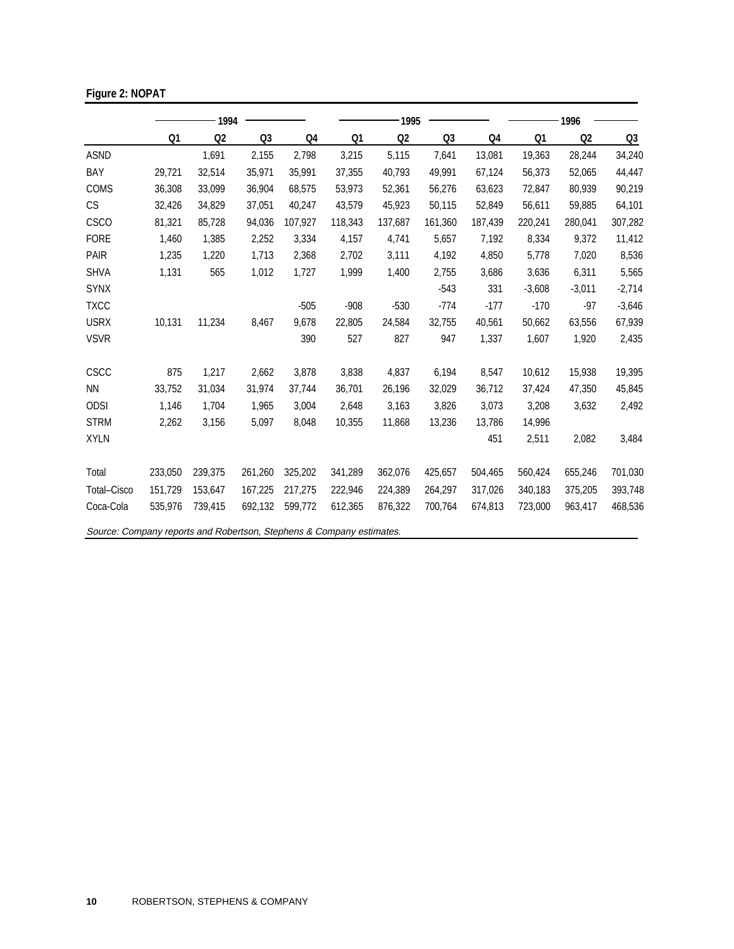## **Figure 2: NOPAT**

|             | 1994    |         |         |         | 1995    |                |                |         | 1996     |                |          |  |
|-------------|---------|---------|---------|---------|---------|----------------|----------------|---------|----------|----------------|----------|--|
|             | Q1      | Q2      | Q3      | Q4      | Q1      | Q <sub>2</sub> | Q <sub>3</sub> | Q4      | Q1       | Q <sub>2</sub> | Q3       |  |
| <b>ASND</b> |         | 1,691   | 2,155   | 2,798   | 3,215   | 5,115          | 7,641          | 13,081  | 19,363   | 28,244         | 34,240   |  |
| BAY         | 29,721  | 32,514  | 35,971  | 35,991  | 37,355  | 40,793         | 49,991         | 67,124  | 56,373   | 52,065         | 44,447   |  |
| <b>COMS</b> | 36,308  | 33,099  | 36,904  | 68,575  | 53,973  | 52,361         | 56,276         | 63,623  | 72,847   | 80,939         | 90,219   |  |
| CS          | 32,426  | 34,829  | 37,051  | 40,247  | 43,579  | 45,923         | 50,115         | 52,849  | 56,611   | 59,885         | 64,101   |  |
| <b>CSCO</b> | 81,321  | 85,728  | 94,036  | 107,927 | 118,343 | 137,687        | 161,360        | 187,439 | 220,241  | 280,041        | 307,282  |  |
| <b>FORE</b> | 1,460   | 1,385   | 2,252   | 3,334   | 4,157   | 4,741          | 5,657          | 7,192   | 8,334    | 9,372          | 11,412   |  |
| <b>PAIR</b> | 1,235   | 1,220   | 1,713   | 2,368   | 2,702   | 3,111          | 4,192          | 4,850   | 5,778    | 7,020          | 8,536    |  |
| <b>SHVA</b> | 1,131   | 565     | 1,012   | 1,727   | 1,999   | 1,400          | 2,755          | 3,686   | 3,636    | 6,311          | 5,565    |  |
| <b>SYNX</b> |         |         |         |         |         |                | $-543$         | 331     | $-3,608$ | $-3,011$       | $-2,714$ |  |
| <b>TXCC</b> |         |         |         | $-505$  | $-908$  | $-530$         | $-774$         | $-177$  | $-170$   | $-97$          | $-3,646$ |  |
| <b>USRX</b> | 10,131  | 11,234  | 8,467   | 9,678   | 22,805  | 24,584         | 32,755         | 40,561  | 50,662   | 63,556         | 67,939   |  |
| <b>VSVR</b> |         |         |         | 390     | 527     | 827            | 947            | 1,337   | 1,607    | 1,920          | 2,435    |  |
| <b>CSCC</b> | 875     | 1,217   | 2,662   | 3,878   | 3,838   | 4,837          | 6,194          | 8,547   | 10,612   | 15,938         | 19,395   |  |
| <b>NN</b>   | 33,752  | 31,034  | 31,974  | 37,744  | 36,701  | 26,196         | 32,029         | 36,712  | 37,424   | 47,350         | 45,845   |  |
| <b>ODSI</b> | 1,146   | 1,704   | 1,965   | 3,004   | 2,648   | 3,163          | 3,826          | 3,073   | 3,208    | 3,632          | 2,492    |  |
| <b>STRM</b> | 2,262   | 3,156   | 5,097   | 8,048   | 10,355  | 11,868         | 13,236         | 13,786  | 14,996   |                |          |  |
| <b>XYLN</b> |         |         |         |         |         |                |                | 451     | 2,511    | 2,082          | 3,484    |  |
| Total       | 233,050 | 239,375 | 261,260 | 325,202 | 341,289 | 362,076        | 425,657        | 504,465 | 560,424  | 655,246        | 701,030  |  |
| Total-Cisco | 151,729 | 153,647 | 167,225 | 217,275 | 222,946 | 224,389        | 264,297        | 317,026 | 340,183  | 375,205        | 393,748  |  |
| Coca-Cola   | 535,976 | 739,415 | 692,132 | 599,772 | 612,365 | 876,322        | 700,764        | 674,813 | 723,000  | 963,417        | 468,536  |  |

Source: Company reports and Robertson, Stephens & Company estimates.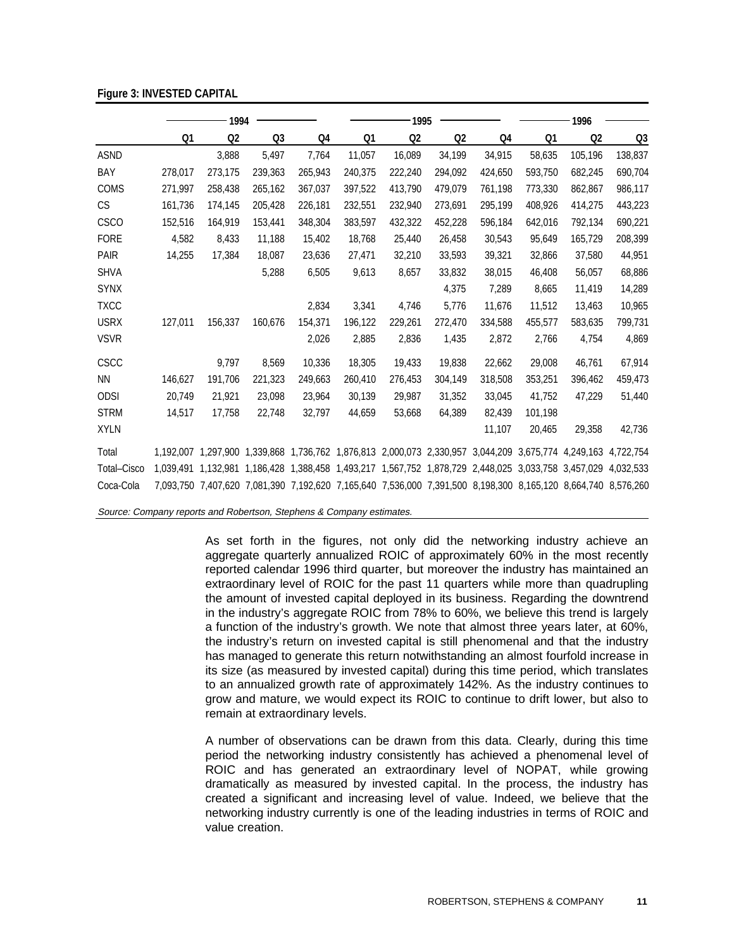#### **Figure 3: INVESTED CAPITAL**

|             |           | 1994           |           |                                                                                                     |           | 1995                          |           |           | 1996      |                     |           |
|-------------|-----------|----------------|-----------|-----------------------------------------------------------------------------------------------------|-----------|-------------------------------|-----------|-----------|-----------|---------------------|-----------|
|             | Q1        | Q <sub>2</sub> | Q3        | Q4                                                                                                  | Q1        | Q <sub>2</sub>                | Q2        | Q4        | Q1        | Q <sub>2</sub>      | Q3        |
| <b>ASND</b> |           | 3,888          | 5,497     | 7,764                                                                                               | 11,057    | 16,089                        | 34,199    | 34,915    | 58,635    | 105,196             | 138,837   |
| BAY         | 278.017   | 273.175        | 239,363   | 265.943                                                                                             | 240.375   | 222,240                       | 294,092   | 424,650   | 593,750   | 682,245             | 690,704   |
| <b>COMS</b> | 271,997   | 258.438        | 265,162   | 367,037                                                                                             | 397,522   | 413,790                       | 479,079   | 761,198   | 773,330   | 862,867             | 986,117   |
| CS          | 161,736   | 174,145        | 205,428   | 226,181                                                                                             | 232,551   | 232,940                       | 273,691   | 295,199   | 408,926   | 414,275             | 443,223   |
| CSCO        | 152,516   | 164,919        | 153,441   | 348,304                                                                                             | 383,597   | 432,322                       | 452,228   | 596,184   | 642,016   | 792,134             | 690,221   |
| <b>FORE</b> | 4,582     | 8,433          | 11,188    | 15,402                                                                                              | 18,768    | 25,440                        | 26,458    | 30,543    | 95,649    | 165,729             | 208,399   |
| <b>PAIR</b> | 14,255    | 17,384         | 18,087    | 23,636                                                                                              | 27,471    | 32,210                        | 33,593    | 39,321    | 32,866    | 37,580              | 44,951    |
| <b>SHVA</b> |           |                | 5,288     | 6,505                                                                                               | 9,613     | 8,657                         | 33,832    | 38,015    | 46,408    | 56,057              | 68,886    |
| <b>SYNX</b> |           |                |           |                                                                                                     |           |                               | 4,375     | 7,289     | 8,665     | 11,419              | 14,289    |
| <b>TXCC</b> |           |                |           | 2,834                                                                                               | 3,341     | 4,746                         | 5,776     | 11,676    | 11,512    | 13,463              | 10,965    |
| <b>USRX</b> | 127,011   | 156,337        | 160.676   | 154,371                                                                                             | 196,122   | 229,261                       | 272,470   | 334,588   | 455,577   | 583,635             | 799,731   |
| <b>VSVR</b> |           |                |           | 2,026                                                                                               | 2,885     | 2,836                         | 1,435     | 2,872     | 2,766     | 4,754               | 4,869     |
| <b>CSCC</b> |           | 9,797          | 8,569     | 10,336                                                                                              | 18,305    | 19,433                        | 19,838    | 22,662    | 29,008    | 46,761              | 67,914    |
| <b>NN</b>   | 146,627   | 191,706        | 221,323   | 249,663                                                                                             | 260,410   | 276,453                       | 304,149   | 318,508   | 353,251   | 396,462             | 459,473   |
| ODSI        | 20,749    | 21,921         | 23,098    | 23,964                                                                                              | 30,139    | 29,987                        | 31,352    | 33,045    | 41,752    | 47,229              | 51,440    |
| <b>STRM</b> | 14,517    | 17,758         | 22,748    | 32,797                                                                                              | 44,659    | 53,668                        | 64,389    | 82,439    | 101,198   |                     |           |
| <b>XYLN</b> |           |                |           |                                                                                                     |           |                               |           | 11,107    | 20,465    | 29,358              | 42,736    |
| Total       | 1.192.007 | 1.297.900      | 1.339.868 | 1.736.762                                                                                           |           | 1,876,813 2,000,073 2,330,957 |           | 3,044,209 | 3.675.774 | 4.249.163 4.722.754 |           |
| Total-Cisco | 1.039.491 | 1,132,981      | 1.186.428 | 1.388.458                                                                                           | 1,493,217 | 1,567,752                     | 1,878,729 | 2,448,025 | 3.033.758 | 3,457,029           | 4,032,533 |
| Coca-Cola   |           |                |           | 7,093,750 7,407,620 7,081,390 7,192,620 7,165,640 7,536,000 7,391,500 8,198,300 8,165,120 8,664,740 |           |                               |           |           |           |                     | 8.576.260 |

Source: Company reports and Robertson, Stephens & Company estimates.

As set forth in the figures, not only did the networking industry achieve an aggregate quarterly annualized ROIC of approximately 60% in the most recently reported calendar 1996 third quarter, but moreover the industry has maintained an extraordinary level of ROIC for the past 11 quarters while more than quadrupling the amount of invested capital deployed in its business. Regarding the downtrend in the industry's aggregate ROIC from 78% to 60%, we believe this trend is largely a function of the industry's growth. We note that almost three years later, at 60%, the industry's return on invested capital is still phenomenal and that the industry has managed to generate this return notwithstanding an almost fourfold increase in its size (as measured by invested capital) during this time period, which translates to an annualized growth rate of approximately 142%. As the industry continues to grow and mature, we would expect its ROIC to continue to drift lower, but also to remain at extraordinary levels.

A number of observations can be drawn from this data. Clearly, during this time period the networking industry consistently has achieved a phenomenal level of ROIC and has generated an extraordinary level of NOPAT, while growing dramatically as measured by invested capital. In the process, the industry has created a significant and increasing level of value. Indeed, we believe that the networking industry currently is one of the leading industries in terms of ROIC and value creation.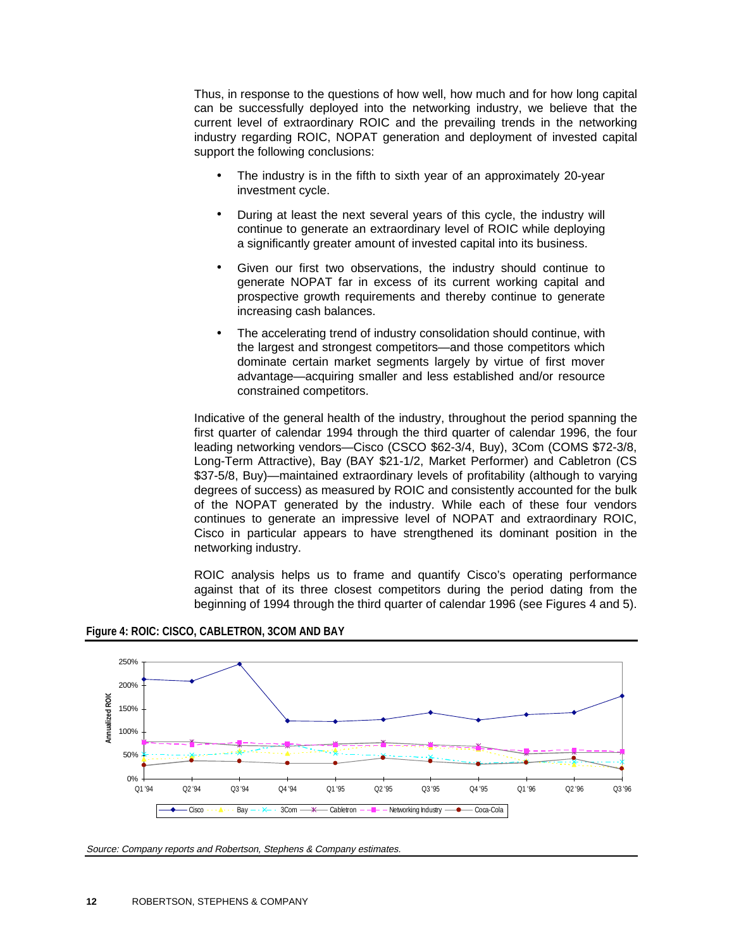Thus, in response to the questions of how well, how much and for how long capital can be successfully deployed into the networking industry, we believe that the current level of extraordinary ROIC and the prevailing trends in the networking industry regarding ROIC, NOPAT generation and deployment of invested capital support the following conclusions:

- The industry is in the fifth to sixth year of an approximately 20-year investment cycle.
- During at least the next several years of this cycle, the industry will continue to generate an extraordinary level of ROIC while deploying a significantly greater amount of invested capital into its business.
- Given our first two observations, the industry should continue to generate NOPAT far in excess of its current working capital and prospective growth requirements and thereby continue to generate increasing cash balances.
- The accelerating trend of industry consolidation should continue, with the largest and strongest competitors—and those competitors which dominate certain market segments largely by virtue of first mover advantage—acquiring smaller and less established and/or resource constrained competitors.

Indicative of the general health of the industry, throughout the period spanning the first quarter of calendar 1994 through the third quarter of calendar 1996, the four leading networking vendors—Cisco (CSCO \$62-3/4, Buy), 3Com (COMS \$72-3/8, Long-Term Attractive), Bay (BAY \$21-1/2, Market Performer) and Cabletron (CS \$37-5/8, Buy)—maintained extraordinary levels of profitability (although to varying degrees of success) as measured by ROIC and consistently accounted for the bulk of the NOPAT generated by the industry. While each of these four vendors continues to generate an impressive level of NOPAT and extraordinary ROIC, Cisco in particular appears to have strengthened its dominant position in the networking industry.

ROIC analysis helps us to frame and quantify Cisco's operating performance against that of its three closest competitors during the period dating from the beginning of 1994 through the third quarter of calendar 1996 (see Figures 4 and 5).





Source: Company reports and Robertson, Stephens & Company estimates.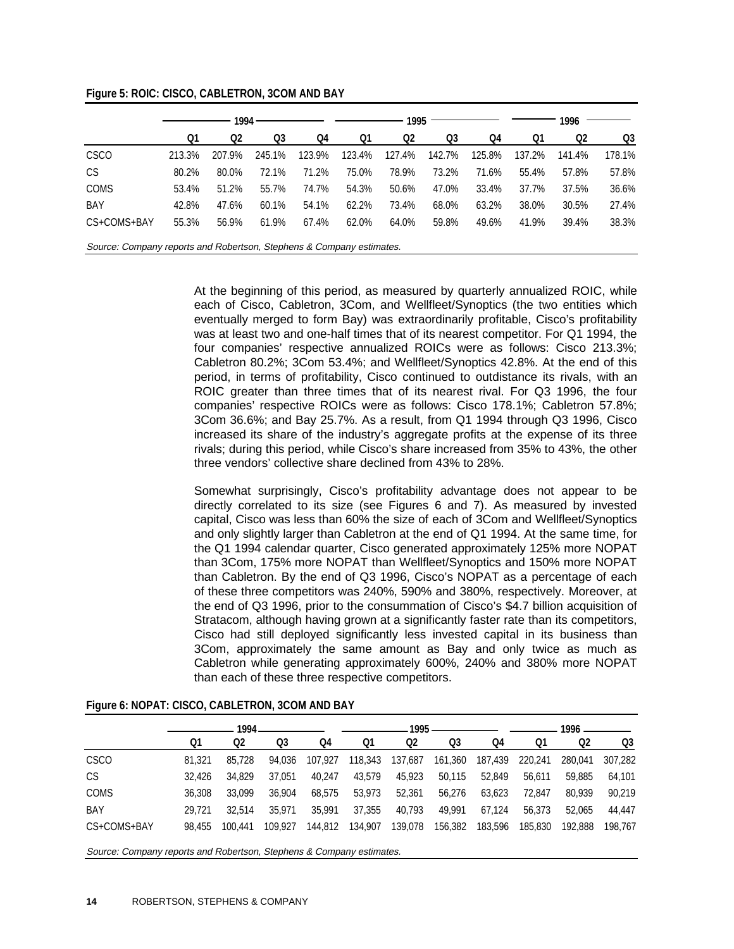#### **Figure 5: ROIC: CISCO, CABLETRON, 3COM AND BAY**

|                                                                      |        | 1994   |        |        | 1995   |        |        |        | 1996   |        |        |
|----------------------------------------------------------------------|--------|--------|--------|--------|--------|--------|--------|--------|--------|--------|--------|
|                                                                      | Q1     | Q2     | Q3     | Q4     | Q1     | Q2     | Q3     | Q4     | Q1     | Q2     | Q3     |
| <b>CSCO</b>                                                          | 213.3% | 207.9% | 245.1% | 123.9% | 123.4% | 127.4% | 142.7% | 125.8% | 137.2% | 141.4% | 178.1% |
| CS                                                                   | 80.2%  | 80.0%  | 72.1%  | 71.2%  | 75.0%  | 78.9%  | 73.2%  | 71.6%  | 55.4%  | 57.8%  | 57.8%  |
| <b>COMS</b>                                                          | 53.4%  | 51.2%  | 55.7%  | 74.7%  | 54.3%  | 50.6%  | 47.0%  | 33.4%  | 37.7%  | 37.5%  | 36.6%  |
| BAY                                                                  | 42.8%  | 47.6%  | 60.1%  | 54.1%  | 62.2%  | 73.4%  | 68.0%  | 63.2%  | 38.0%  | 30.5%  | 27.4%  |
| CS+COMS+BAY                                                          | 55.3%  | 56.9%  | 61.9%  | 67.4%  | 62.0%  | 64.0%  | 59.8%  | 49.6%  | 41.9%  | 39.4%  | 38.3%  |
| Source: Company reports and Robertson, Stephens & Company estimates. |        |        |        |        |        |        |        |        |        |        |        |

At the beginning of this period, as measured by quarterly annualized ROIC, while each of Cisco, Cabletron, 3Com, and Wellfleet/Synoptics (the two entities which eventually merged to form Bay) was extraordinarily profitable, Cisco's profitability was at least two and one-half times that of its nearest competitor. For Q1 1994, the four companies' respective annualized ROICs were as follows: Cisco 213.3%; Cabletron 80.2%; 3Com 53.4%; and Wellfleet/Synoptics 42.8%. At the end of this period, in terms of profitability, Cisco continued to outdistance its rivals, with an ROIC greater than three times that of its nearest rival. For Q3 1996, the four companies' respective ROICs were as follows: Cisco 178.1%; Cabletron 57.8%; 3Com 36.6%; and Bay 25.7%. As a result, from Q1 1994 through Q3 1996, Cisco increased its share of the industry's aggregate profits at the expense of its three rivals; during this period, while Cisco's share increased from 35% to 43%, the other three vendors' collective share declined from 43% to 28%.

Somewhat surprisingly, Cisco's profitability advantage does not appear to be directly correlated to its size (see Figures 6 and 7). As measured by invested capital, Cisco was less than 60% the size of each of 3Com and Wellfleet/Synoptics and only slightly larger than Cabletron at the end of Q1 1994. At the same time, for the Q1 1994 calendar quarter, Cisco generated approximately 125% more NOPAT than 3Com, 175% more NOPAT than Wellfleet/Synoptics and 150% more NOPAT than Cabletron. By the end of Q3 1996, Cisco's NOPAT as a percentage of each of these three competitors was 240%, 590% and 380%, respectively. Moreover, at the end of Q3 1996, prior to the consummation of Cisco's \$4.7 billion acquisition of Stratacom, although having grown at a significantly faster rate than its competitors, Cisco had still deployed significantly less invested capital in its business than 3Com, approximately the same amount as Bay and only twice as much as Cabletron while generating approximately 600%, 240% and 380% more NOPAT than each of these three respective competitors.

|             |        | 1994    |         |         | 1995<br><u> 1989 - Alexander Maria Barbara, poeta esp</u> |         |         |         | $1996$ — |                |         |
|-------------|--------|---------|---------|---------|-----------------------------------------------------------|---------|---------|---------|----------|----------------|---------|
|             | Q1     | Q2      | Q3      | Q4      | Q1                                                        | Q2      | Q3      | Q4      | Q1       | Q <sub>2</sub> | Q3      |
| <b>CSCO</b> | 81.321 | 85.728  | 94.036  | 107.927 | 118,343                                                   | 137,687 | 161,360 | 187,439 | 220.241  | 280.041        | 307,282 |
| <b>CS</b>   | 32,426 | 34.829  | 37.051  | 40.247  | 43,579                                                    | 45,923  | 50,115  | 52,849  | 56.611   | 59.885         | 64,101  |
| <b>COMS</b> | 36,308 | 33.099  | 36.904  | 68.575  | 53,973                                                    | 52.361  | 56.276  | 63,623  | 72.847   | 80.939         | 90,219  |
| BAY         | 29.721 | 32.514  | 35.971  | 35.991  | 37,355                                                    | 40,793  | 49,991  | 67.124  | 56.373   | 52.065         | 44,447  |
| CS+COMS+BAY | 98.455 | 100.441 | 109.927 | 144.812 | 134,907                                                   | 139,078 | 156,382 | 183,596 | 185.830  | 192.888        | 198.767 |
|             |        |         |         |         |                                                           |         |         |         |          |                |         |

#### **Figure 6: NOPAT: CISCO, CABLETRON, 3COM AND BAY**

Source: Company reports and Robertson, Stephens & Company estimates.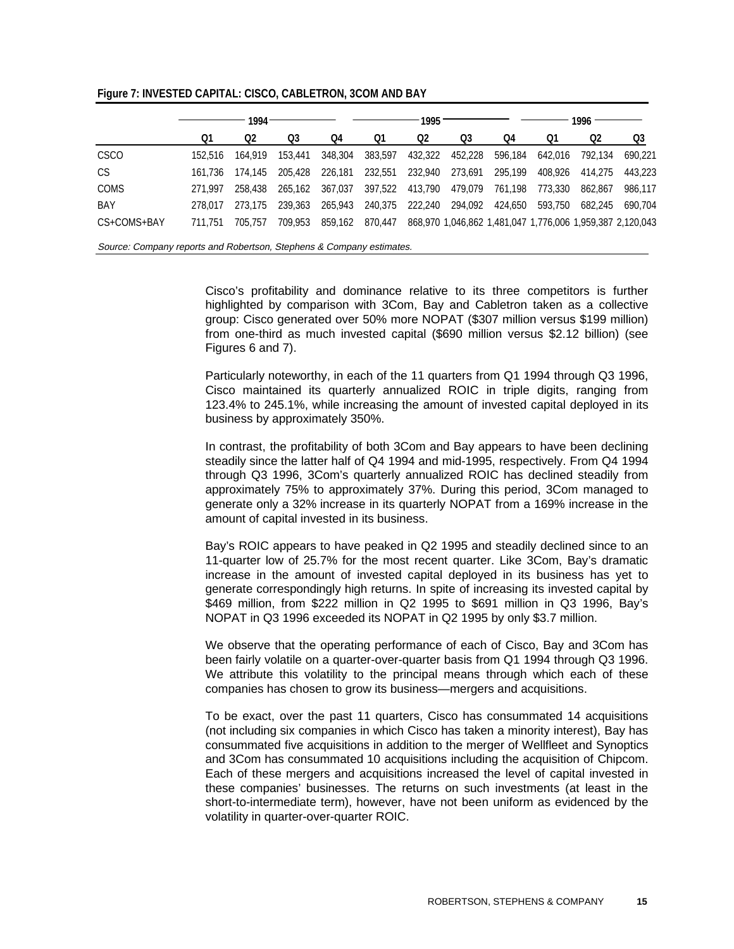|             | 1994    |         |         |         | 1995    |         |                                                           |         | 1996    |         |         |
|-------------|---------|---------|---------|---------|---------|---------|-----------------------------------------------------------|---------|---------|---------|---------|
|             | Q1      | Q2      | Q3      | Q4      | Q1      | Q2      | Q3                                                        | Q4      | Q1      | Q2      | Q3      |
| <b>CSCO</b> | 152.516 | 164.919 | 153.441 | 348.304 | 383,597 | 432,322 | 452,228                                                   | 596,184 | 642.016 | 792.134 | 690.221 |
| CS.         | 161.736 | 174.145 | 205.428 | 226.181 | 232.551 | 232.940 | 273.691                                                   | 295.199 | 408.926 | 414.275 | 443.223 |
| <b>COMS</b> | 271.997 | 258.438 | 265.162 | 367.037 | 397.522 | 413.790 | 479.079                                                   | 761.198 | 773.330 | 862.867 | 986.117 |
| <b>BAY</b>  | 278.017 | 273.175 | 239.363 | 265.943 | 240,375 | 222,240 | 294,092                                                   | 424.650 | 593.750 | 682.245 | 690.704 |
| CS+COMS+BAY | 711.751 | 705.757 | 709.953 | 859.162 | 870.447 |         | 868,970 1,046,862 1,481,047 1,776,006 1,959,387 2,120,043 |         |         |         |         |

#### **Figure 7: INVESTED CAPITAL: CISCO, CABLETRON, 3COM AND BAY**

Source: Company reports and Robertson, Stephens & Company estimates.

Cisco's profitability and dominance relative to its three competitors is further highlighted by comparison with 3Com, Bay and Cabletron taken as a collective group: Cisco generated over 50% more NOPAT (\$307 million versus \$199 million) from one-third as much invested capital (\$690 million versus \$2.12 billion) (see Figures 6 and 7).

Particularly noteworthy, in each of the 11 quarters from Q1 1994 through Q3 1996, Cisco maintained its quarterly annualized ROIC in triple digits, ranging from 123.4% to 245.1%, while increasing the amount of invested capital deployed in its business by approximately 350%.

In contrast, the profitability of both 3Com and Bay appears to have been declining steadily since the latter half of Q4 1994 and mid-1995, respectively. From Q4 1994 through Q3 1996, 3Com's quarterly annualized ROIC has declined steadily from approximately 75% to approximately 37%. During this period, 3Com managed to generate only a 32% increase in its quarterly NOPAT from a 169% increase in the amount of capital invested in its business.

Bay's ROIC appears to have peaked in Q2 1995 and steadily declined since to an 11-quarter low of 25.7% for the most recent quarter. Like 3Com, Bay's dramatic increase in the amount of invested capital deployed in its business has yet to generate correspondingly high returns. In spite of increasing its invested capital by \$469 million, from \$222 million in Q2 1995 to \$691 million in Q3 1996, Bay's NOPAT in Q3 1996 exceeded its NOPAT in Q2 1995 by only \$3.7 million.

We observe that the operating performance of each of Cisco, Bay and 3Com has been fairly volatile on a quarter-over-quarter basis from Q1 1994 through Q3 1996. We attribute this volatility to the principal means through which each of these companies has chosen to grow its business—mergers and acquisitions.

To be exact, over the past 11 quarters, Cisco has consummated 14 acquisitions (not including six companies in which Cisco has taken a minority interest), Bay has consummated five acquisitions in addition to the merger of Wellfleet and Synoptics and 3Com has consummated 10 acquisitions including the acquisition of Chipcom. Each of these mergers and acquisitions increased the level of capital invested in these companies' businesses. The returns on such investments (at least in the short-to-intermediate term), however, have not been uniform as evidenced by the volatility in quarter-over-quarter ROIC.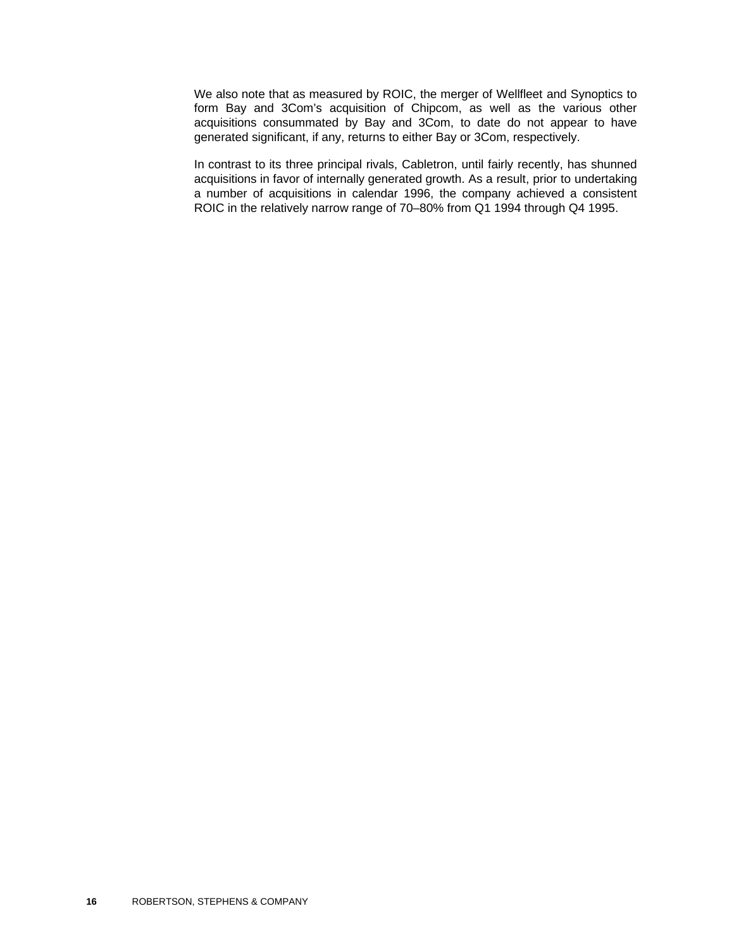We also note that as measured by ROIC, the merger of Wellfleet and Synoptics to form Bay and 3Com's acquisition of Chipcom, as well as the various other acquisitions consummated by Bay and 3Com, to date do not appear to have generated significant, if any, returns to either Bay or 3Com, respectively.

In contrast to its three principal rivals, Cabletron, until fairly recently, has shunned acquisitions in favor of internally generated growth. As a result, prior to undertaking a number of acquisitions in calendar 1996, the company achieved a consistent ROIC in the relatively narrow range of 70–80% from Q1 1994 through Q4 1995.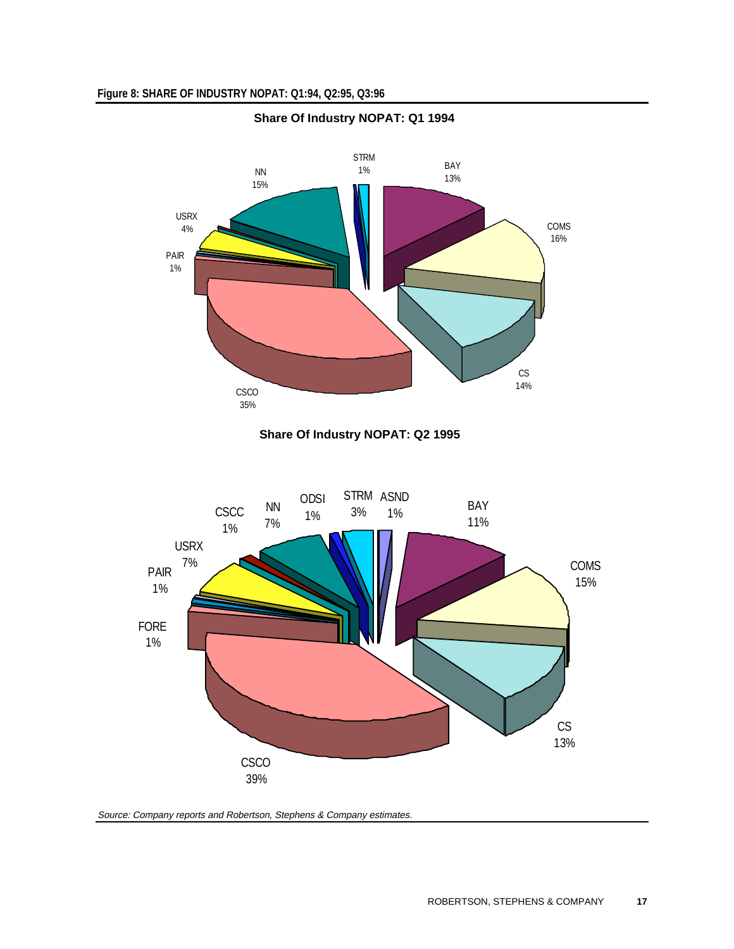

**Share Of Industry NOPAT: Q1 1994**





Source: Company reports and Robertson, Stephens & Company estimates.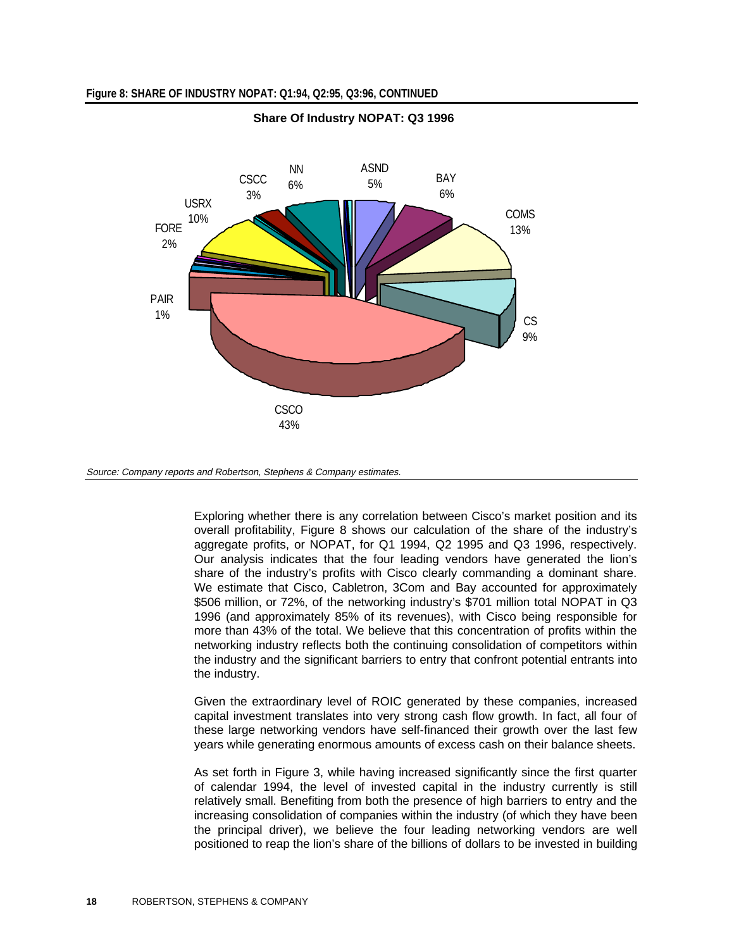#### **Figure 8: SHARE OF INDUSTRY NOPAT: Q1:94, Q2:95, Q3:96, CONTINUED**



#### **Share Of Industry NOPAT: Q3 1996**

Exploring whether there is any correlation between Cisco's market position and its overall profitability, Figure 8 shows our calculation of the share of the industry's aggregate profits, or NOPAT, for Q1 1994, Q2 1995 and Q3 1996, respectively. Our analysis indicates that the four leading vendors have generated the lion's share of the industry's profits with Cisco clearly commanding a dominant share. We estimate that Cisco, Cabletron, 3Com and Bay accounted for approximately \$506 million, or 72%, of the networking industry's \$701 million total NOPAT in Q3 1996 (and approximately 85% of its revenues), with Cisco being responsible for more than 43% of the total. We believe that this concentration of profits within the networking industry reflects both the continuing consolidation of competitors within the industry and the significant barriers to entry that confront potential entrants into the industry.

Given the extraordinary level of ROIC generated by these companies, increased capital investment translates into very strong cash flow growth. In fact, all four of these large networking vendors have self-financed their growth over the last few years while generating enormous amounts of excess cash on their balance sheets.

As set forth in Figure 3, while having increased significantly since the first quarter of calendar 1994, the level of invested capital in the industry currently is still relatively small. Benefiting from both the presence of high barriers to entry and the increasing consolidation of companies within the industry (of which they have been the principal driver), we believe the four leading networking vendors are well positioned to reap the lion's share of the billions of dollars to be invested in building

Source: Company reports and Robertson, Stephens & Company estimates.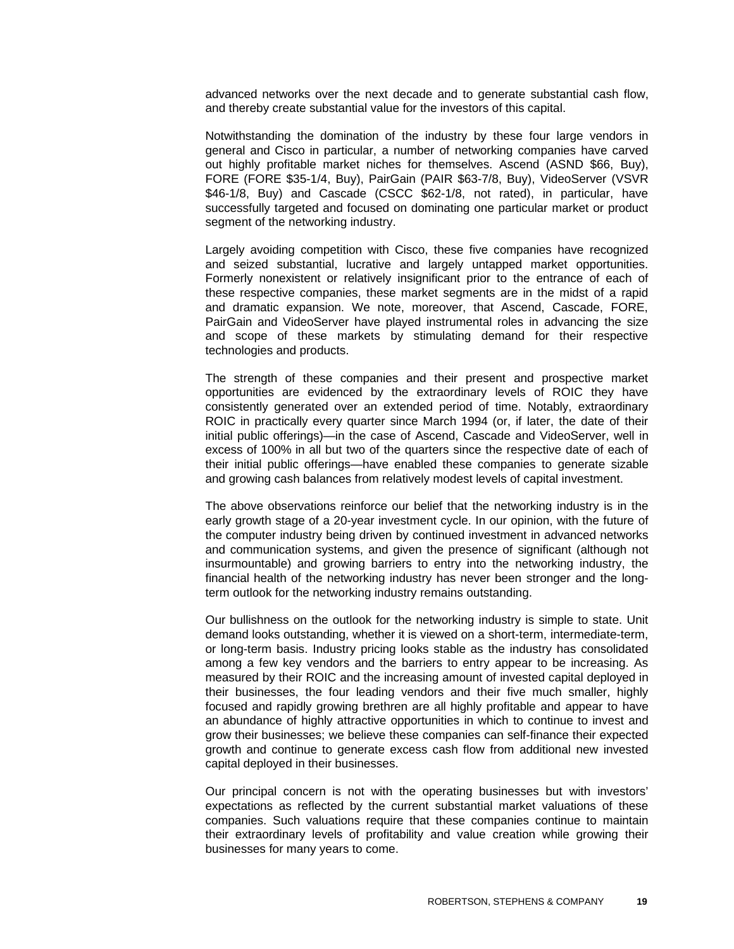advanced networks over the next decade and to generate substantial cash flow, and thereby create substantial value for the investors of this capital.

Notwithstanding the domination of the industry by these four large vendors in general and Cisco in particular, a number of networking companies have carved out highly profitable market niches for themselves. Ascend (ASND \$66, Buy), FORE (FORE \$35-1/4, Buy), PairGain (PAIR \$63-7/8, Buy), VideoServer (VSVR \$46-1/8, Buy) and Cascade (CSCC \$62-1/8, not rated), in particular, have successfully targeted and focused on dominating one particular market or product segment of the networking industry.

Largely avoiding competition with Cisco, these five companies have recognized and seized substantial, lucrative and largely untapped market opportunities. Formerly nonexistent or relatively insignificant prior to the entrance of each of these respective companies, these market segments are in the midst of a rapid and dramatic expansion. We note, moreover, that Ascend, Cascade, FORE, PairGain and VideoServer have played instrumental roles in advancing the size and scope of these markets by stimulating demand for their respective technologies and products.

The strength of these companies and their present and prospective market opportunities are evidenced by the extraordinary levels of ROIC they have consistently generated over an extended period of time. Notably, extraordinary ROIC in practically every quarter since March 1994 (or, if later, the date of their initial public offerings)—in the case of Ascend, Cascade and VideoServer, well in excess of 100% in all but two of the quarters since the respective date of each of their initial public offerings—have enabled these companies to generate sizable and growing cash balances from relatively modest levels of capital investment.

The above observations reinforce our belief that the networking industry is in the early growth stage of a 20-year investment cycle. In our opinion, with the future of the computer industry being driven by continued investment in advanced networks and communication systems, and given the presence of significant (although not insurmountable) and growing barriers to entry into the networking industry, the financial health of the networking industry has never been stronger and the longterm outlook for the networking industry remains outstanding.

Our bullishness on the outlook for the networking industry is simple to state. Unit demand looks outstanding, whether it is viewed on a short-term, intermediate-term, or long-term basis. Industry pricing looks stable as the industry has consolidated among a few key vendors and the barriers to entry appear to be increasing. As measured by their ROIC and the increasing amount of invested capital deployed in their businesses, the four leading vendors and their five much smaller, highly focused and rapidly growing brethren are all highly profitable and appear to have an abundance of highly attractive opportunities in which to continue to invest and grow their businesses; we believe these companies can self-finance their expected growth and continue to generate excess cash flow from additional new invested capital deployed in their businesses.

Our principal concern is not with the operating businesses but with investors' expectations as reflected by the current substantial market valuations of these companies. Such valuations require that these companies continue to maintain their extraordinary levels of profitability and value creation while growing their businesses for many years to come.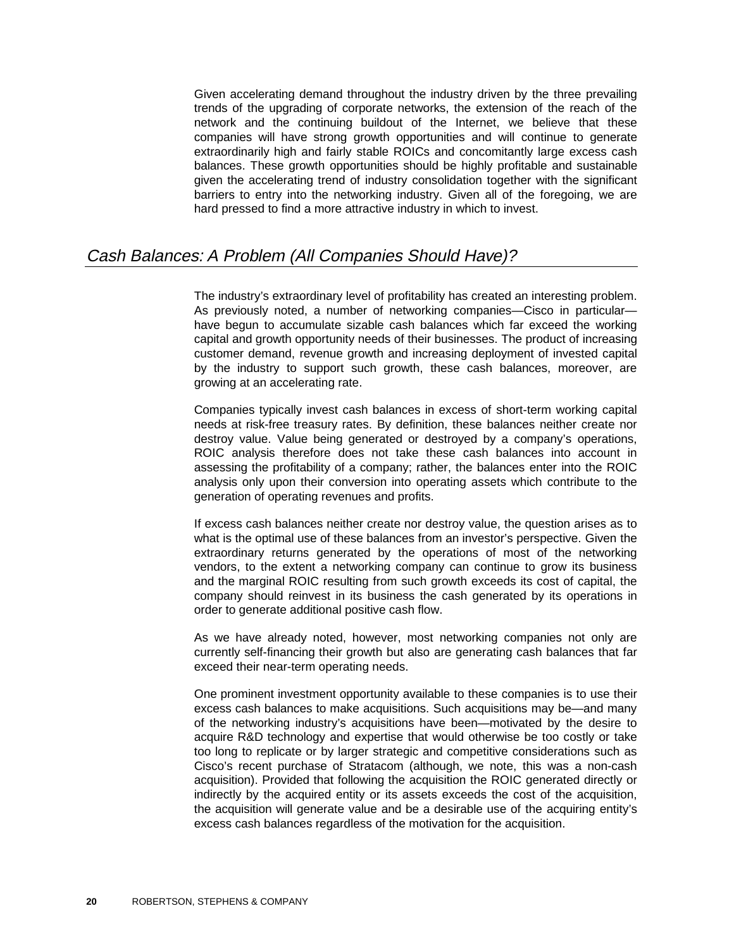Given accelerating demand throughout the industry driven by the three prevailing trends of the upgrading of corporate networks, the extension of the reach of the network and the continuing buildout of the Internet, we believe that these companies will have strong growth opportunities and will continue to generate extraordinarily high and fairly stable ROICs and concomitantly large excess cash balances. These growth opportunities should be highly profitable and sustainable given the accelerating trend of industry consolidation together with the significant barriers to entry into the networking industry. Given all of the foregoing, we are hard pressed to find a more attractive industry in which to invest.

## Cash Balances: A Problem (All Companies Should Have)?

The industry's extraordinary level of profitability has created an interesting problem. As previously noted, a number of networking companies—Cisco in particular have begun to accumulate sizable cash balances which far exceed the working capital and growth opportunity needs of their businesses. The product of increasing customer demand, revenue growth and increasing deployment of invested capital by the industry to support such growth, these cash balances, moreover, are growing at an accelerating rate.

Companies typically invest cash balances in excess of short-term working capital needs at risk-free treasury rates. By definition, these balances neither create nor destroy value. Value being generated or destroyed by a company's operations, ROIC analysis therefore does not take these cash balances into account in assessing the profitability of a company; rather, the balances enter into the ROIC analysis only upon their conversion into operating assets which contribute to the generation of operating revenues and profits.

If excess cash balances neither create nor destroy value, the question arises as to what is the optimal use of these balances from an investor's perspective. Given the extraordinary returns generated by the operations of most of the networking vendors, to the extent a networking company can continue to grow its business and the marginal ROIC resulting from such growth exceeds its cost of capital, the company should reinvest in its business the cash generated by its operations in order to generate additional positive cash flow.

As we have already noted, however, most networking companies not only are currently self-financing their growth but also are generating cash balances that far exceed their near-term operating needs.

One prominent investment opportunity available to these companies is to use their excess cash balances to make acquisitions. Such acquisitions may be—and many of the networking industry's acquisitions have been—motivated by the desire to acquire R&D technology and expertise that would otherwise be too costly or take too long to replicate or by larger strategic and competitive considerations such as Cisco's recent purchase of Stratacom (although, we note, this was a non-cash acquisition). Provided that following the acquisition the ROIC generated directly or indirectly by the acquired entity or its assets exceeds the cost of the acquisition, the acquisition will generate value and be a desirable use of the acquiring entity's excess cash balances regardless of the motivation for the acquisition.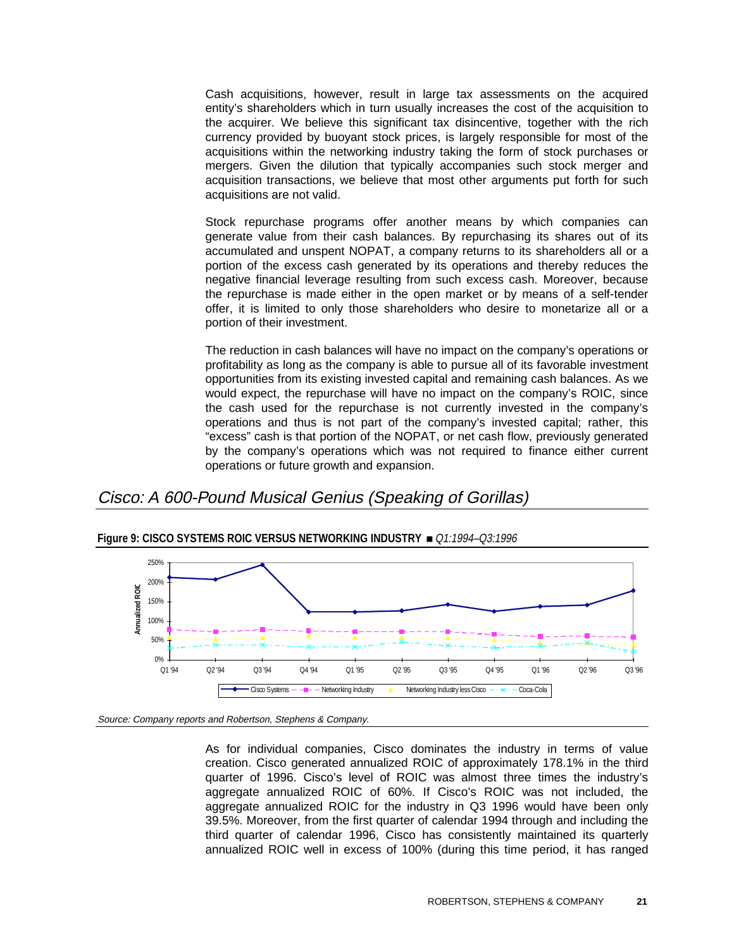Cash acquisitions, however, result in large tax assessments on the acquired entity's shareholders which in turn usually increases the cost of the acquisition to the acquirer. We believe this significant tax disincentive, together with the rich currency provided by buoyant stock prices, is largely responsible for most of the acquisitions within the networking industry taking the form of stock purchases or mergers. Given the dilution that typically accompanies such stock merger and acquisition transactions, we believe that most other arguments put forth for such acquisitions are not valid.

Stock repurchase programs offer another means by which companies can generate value from their cash balances. By repurchasing its shares out of its accumulated and unspent NOPAT, a company returns to its shareholders all or a portion of the excess cash generated by its operations and thereby reduces the negative financial leverage resulting from such excess cash. Moreover, because the repurchase is made either in the open market or by means of a self-tender offer, it is limited to only those shareholders who desire to monetarize all or a portion of their investment.

The reduction in cash balances will have no impact on the company's operations or profitability as long as the company is able to pursue all of its favorable investment opportunities from its existing invested capital and remaining cash balances. As we would expect, the repurchase will have no impact on the company's ROIC, since the cash used for the repurchase is not currently invested in the company's operations and thus is not part of the company's invested capital; rather, this "excess" cash is that portion of the NOPAT, or net cash flow, previously generated by the company's operations which was not required to finance either current operations or future growth and expansion.

# Cisco: A 600-Pound Musical Genius (Speaking of Gorillas)



### **Figure 9: CISCO SYSTEMS ROIC VERSUS NETWORKING INDUSTRY** ■ Q1:1994–Q3:1996

As for individual companies, Cisco dominates the industry in terms of value creation. Cisco generated annualized ROIC of approximately 178.1% in the third quarter of 1996. Cisco's level of ROIC was almost three times the industry's aggregate annualized ROIC of 60%. If Cisco's ROIC was not included, the aggregate annualized ROIC for the industry in Q3 1996 would have been only 39.5%. Moreover, from the first quarter of calendar 1994 through and including the third quarter of calendar 1996, Cisco has consistently maintained its quarterly annualized ROIC well in excess of 100% (during this time period, it has ranged

Source: Company reports and Robertson, Stephens & Company.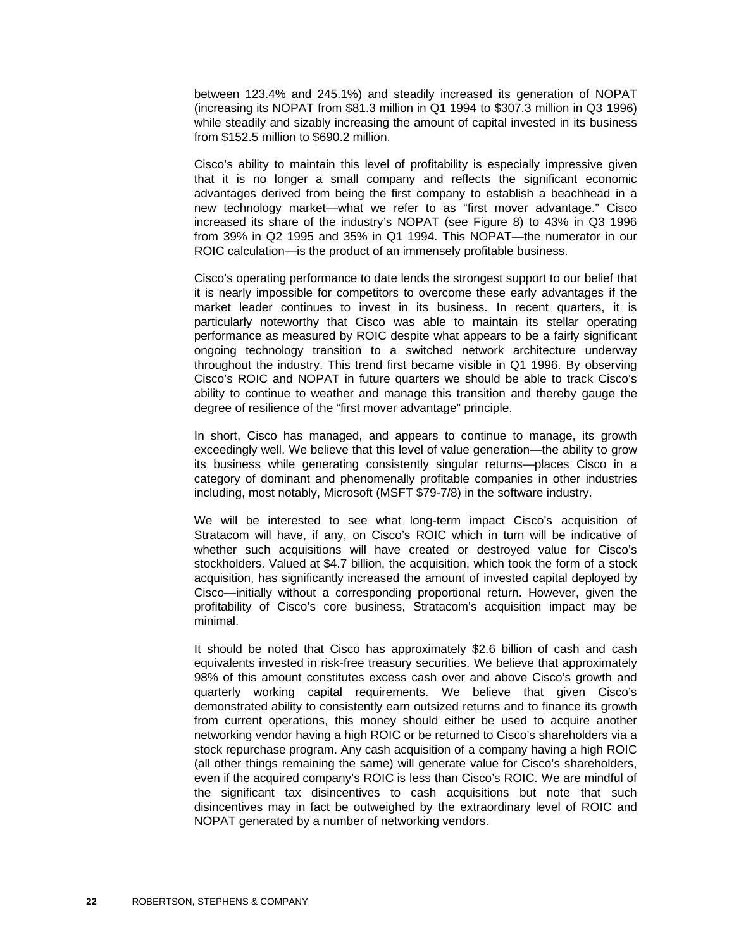between 123.4% and 245.1%) and steadily increased its generation of NOPAT (increasing its NOPAT from \$81.3 million in Q1 1994 to \$307.3 million in Q3 1996) while steadily and sizably increasing the amount of capital invested in its business from \$152.5 million to \$690.2 million.

Cisco's ability to maintain this level of profitability is especially impressive given that it is no longer a small company and reflects the significant economic advantages derived from being the first company to establish a beachhead in a new technology market—what we refer to as "first mover advantage." Cisco increased its share of the industry's NOPAT (see Figure 8) to 43% in Q3 1996 from 39% in Q2 1995 and 35% in Q1 1994. This NOPAT—the numerator in our ROIC calculation—is the product of an immensely profitable business.

Cisco's operating performance to date lends the strongest support to our belief that it is nearly impossible for competitors to overcome these early advantages if the market leader continues to invest in its business. In recent quarters, it is particularly noteworthy that Cisco was able to maintain its stellar operating performance as measured by ROIC despite what appears to be a fairly significant ongoing technology transition to a switched network architecture underway throughout the industry. This trend first became visible in Q1 1996. By observing Cisco's ROIC and NOPAT in future quarters we should be able to track Cisco's ability to continue to weather and manage this transition and thereby gauge the degree of resilience of the "first mover advantage" principle.

In short, Cisco has managed, and appears to continue to manage, its growth exceedingly well. We believe that this level of value generation—the ability to grow its business while generating consistently singular returns—places Cisco in a category of dominant and phenomenally profitable companies in other industries including, most notably, Microsoft (MSFT \$79-7/8) in the software industry.

We will be interested to see what long-term impact Cisco's acquisition of Stratacom will have, if any, on Cisco's ROIC which in turn will be indicative of whether such acquisitions will have created or destroyed value for Cisco's stockholders. Valued at \$4.7 billion, the acquisition, which took the form of a stock acquisition, has significantly increased the amount of invested capital deployed by Cisco—initially without a corresponding proportional return. However, given the profitability of Cisco's core business, Stratacom's acquisition impact may be minimal.

It should be noted that Cisco has approximately \$2.6 billion of cash and cash equivalents invested in risk-free treasury securities. We believe that approximately 98% of this amount constitutes excess cash over and above Cisco's growth and quarterly working capital requirements. We believe that given Cisco's demonstrated ability to consistently earn outsized returns and to finance its growth from current operations, this money should either be used to acquire another networking vendor having a high ROIC or be returned to Cisco's shareholders via a stock repurchase program. Any cash acquisition of a company having a high ROIC (all other things remaining the same) will generate value for Cisco's shareholders, even if the acquired company's ROIC is less than Cisco's ROIC. We are mindful of the significant tax disincentives to cash acquisitions but note that such disincentives may in fact be outweighed by the extraordinary level of ROIC and NOPAT generated by a number of networking vendors.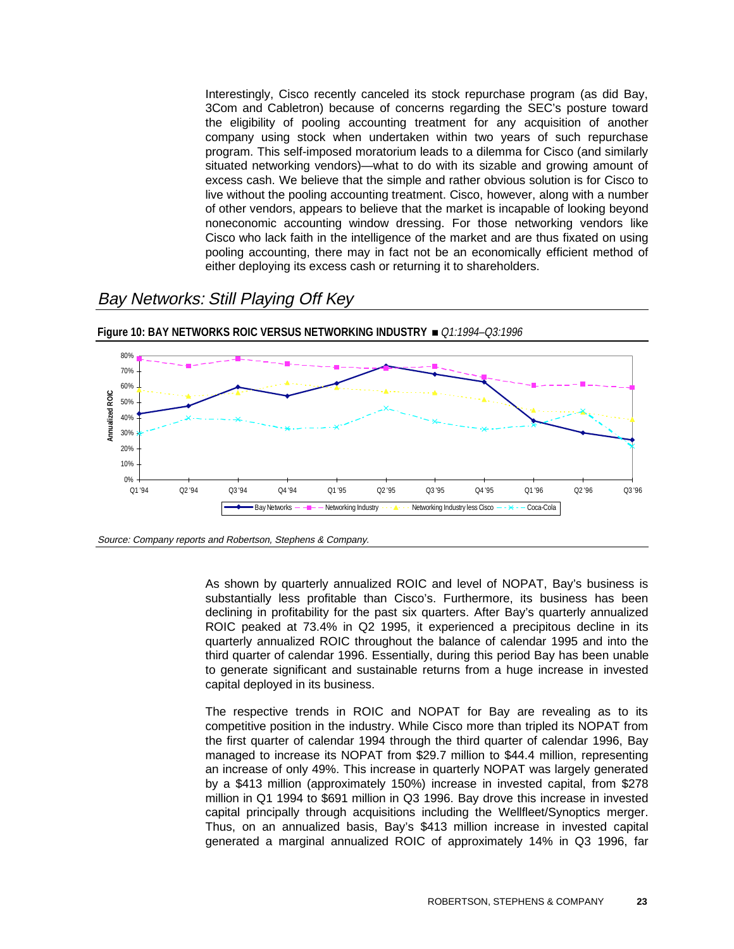Interestingly, Cisco recently canceled its stock repurchase program (as did Bay, 3Com and Cabletron) because of concerns regarding the SEC's posture toward the eligibility of pooling accounting treatment for any acquisition of another company using stock when undertaken within two years of such repurchase program. This self-imposed moratorium leads to a dilemma for Cisco (and similarly situated networking vendors)—what to do with its sizable and growing amount of excess cash. We believe that the simple and rather obvious solution is for Cisco to live without the pooling accounting treatment. Cisco, however, along with a number of other vendors, appears to believe that the market is incapable of looking beyond noneconomic accounting window dressing. For those networking vendors like Cisco who lack faith in the intelligence of the market and are thus fixated on using pooling accounting, there may in fact not be an economically efficient method of either deploying its excess cash or returning it to shareholders.

# Bay Networks: Still Playing Off Key



**Figure 10: BAY NETWORKS ROIC VERSUS NETWORKING INDUSTRY** ■ Q1:1994–Q3:1996

Source: Company reports and Robertson, Stephens & Company.

As shown by quarterly annualized ROIC and level of NOPAT, Bay's business is substantially less profitable than Cisco's. Furthermore, its business has been declining in profitability for the past six quarters. After Bay's quarterly annualized ROIC peaked at 73.4% in Q2 1995, it experienced a precipitous decline in its quarterly annualized ROIC throughout the balance of calendar 1995 and into the third quarter of calendar 1996. Essentially, during this period Bay has been unable to generate significant and sustainable returns from a huge increase in invested capital deployed in its business.

The respective trends in ROIC and NOPAT for Bay are revealing as to its competitive position in the industry. While Cisco more than tripled its NOPAT from the first quarter of calendar 1994 through the third quarter of calendar 1996, Bay managed to increase its NOPAT from \$29.7 million to \$44.4 million, representing an increase of only 49%. This increase in quarterly NOPAT was largely generated by a \$413 million (approximately 150%) increase in invested capital, from \$278 million in Q1 1994 to \$691 million in Q3 1996. Bay drove this increase in invested capital principally through acquisitions including the Wellfleet/Synoptics merger. Thus, on an annualized basis, Bay's \$413 million increase in invested capital generated a marginal annualized ROIC of approximately 14% in Q3 1996, far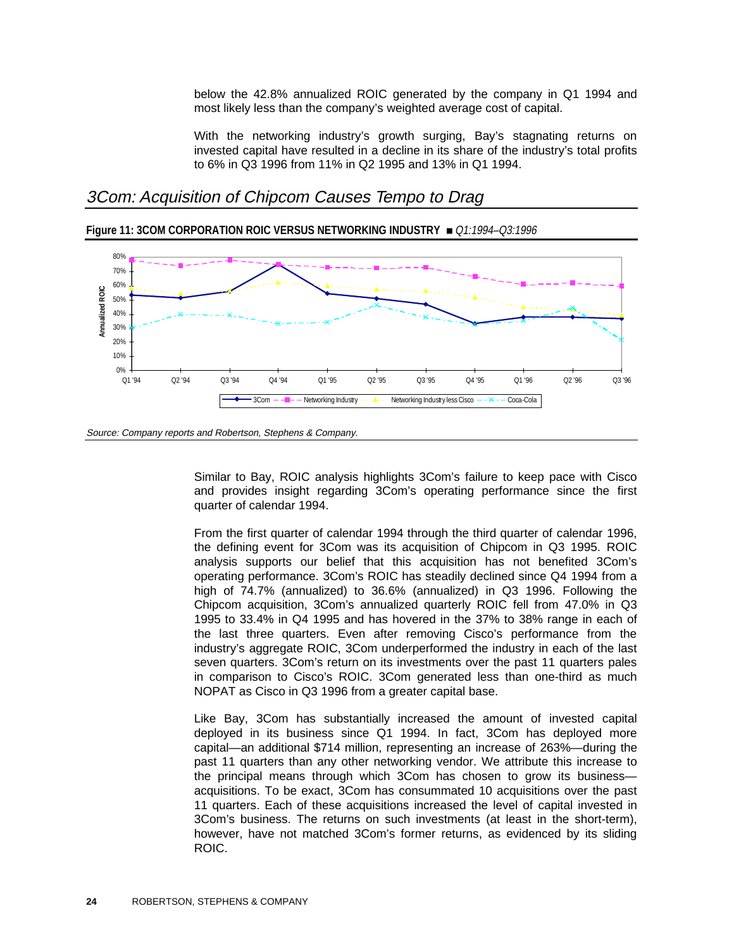below the 42.8% annualized ROIC generated by the company in Q1 1994 and most likely less than the company's weighted average cost of capital.

With the networking industry's growth surging, Bay's stagnating returns on invested capital have resulted in a decline in its share of the industry's total profits to 6% in Q3 1996 from 11% in Q2 1995 and 13% in Q1 1994.









Similar to Bay, ROIC analysis highlights 3Com's failure to keep pace with Cisco and provides insight regarding 3Com's operating performance since the first quarter of calendar 1994.

From the first quarter of calendar 1994 through the third quarter of calendar 1996, the defining event for 3Com was its acquisition of Chipcom in Q3 1995. ROIC analysis supports our belief that this acquisition has not benefited 3Com's operating performance. 3Com's ROIC has steadily declined since Q4 1994 from a high of 74.7% (annualized) to 36.6% (annualized) in Q3 1996. Following the Chipcom acquisition, 3Com's annualized quarterly ROIC fell from 47.0% in Q3 1995 to 33.4% in Q4 1995 and has hovered in the 37% to 38% range in each of the last three quarters. Even after removing Cisco's performance from the industry's aggregate ROIC, 3Com underperformed the industry in each of the last seven quarters. 3Com's return on its investments over the past 11 quarters pales in comparison to Cisco's ROIC. 3Com generated less than one-third as much NOPAT as Cisco in Q3 1996 from a greater capital base.

Like Bay, 3Com has substantially increased the amount of invested capital deployed in its business since Q1 1994. In fact, 3Com has deployed more capital—an additional \$714 million, representing an increase of 263%—during the past 11 quarters than any other networking vendor. We attribute this increase to the principal means through which 3Com has chosen to grow its business acquisitions. To be exact, 3Com has consummated 10 acquisitions over the past 11 quarters. Each of these acquisitions increased the level of capital invested in 3Com's business. The returns on such investments (at least in the short-term), however, have not matched 3Com's former returns, as evidenced by its sliding ROIC.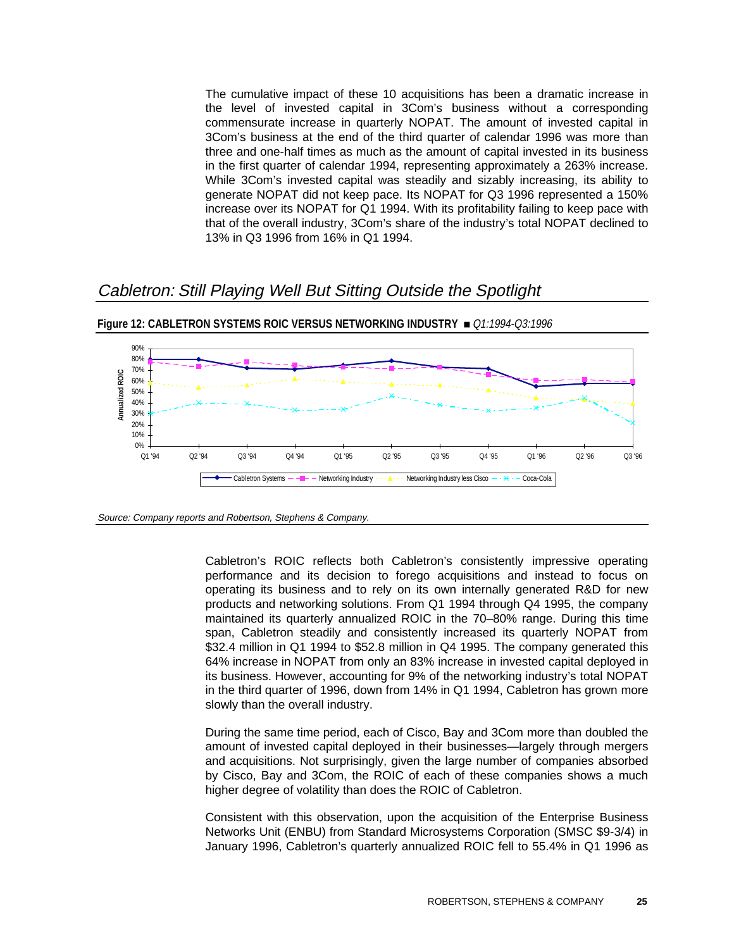The cumulative impact of these 10 acquisitions has been a dramatic increase in the level of invested capital in 3Com's business without a corresponding commensurate increase in quarterly NOPAT. The amount of invested capital in 3Com's business at the end of the third quarter of calendar 1996 was more than three and one-half times as much as the amount of capital invested in its business in the first quarter of calendar 1994, representing approximately a 263% increase. While 3Com's invested capital was steadily and sizably increasing, its ability to generate NOPAT did not keep pace. Its NOPAT for Q3 1996 represented a 150% increase over its NOPAT for Q1 1994. With its profitability failing to keep pace with that of the overall industry, 3Com's share of the industry's total NOPAT declined to 13% in Q3 1996 from 16% in Q1 1994.

# Cabletron: Still Playing Well But Sitting Outside the Spotlight



**Figure 12: CABLETRON SYSTEMS ROIC VERSUS NETWORKING INDUSTRY** ■Q1:1994-Q3:1996

Source: Company reports and Robertson, Stephens & Company.

Cabletron's ROIC reflects both Cabletron's consistently impressive operating performance and its decision to forego acquisitions and instead to focus on operating its business and to rely on its own internally generated R&D for new products and networking solutions. From Q1 1994 through Q4 1995, the company maintained its quarterly annualized ROIC in the 70–80% range. During this time span, Cabletron steadily and consistently increased its quarterly NOPAT from \$32.4 million in Q1 1994 to \$52.8 million in Q4 1995. The company generated this 64% increase in NOPAT from only an 83% increase in invested capital deployed in its business. However, accounting for 9% of the networking industry's total NOPAT in the third quarter of 1996, down from 14% in Q1 1994, Cabletron has grown more slowly than the overall industry.

During the same time period, each of Cisco, Bay and 3Com more than doubled the amount of invested capital deployed in their businesses—largely through mergers and acquisitions. Not surprisingly, given the large number of companies absorbed by Cisco, Bay and 3Com, the ROIC of each of these companies shows a much higher degree of volatility than does the ROIC of Cabletron.

Consistent with this observation, upon the acquisition of the Enterprise Business Networks Unit (ENBU) from Standard Microsystems Corporation (SMSC \$9-3/4) in January 1996, Cabletron's quarterly annualized ROIC fell to 55.4% in Q1 1996 as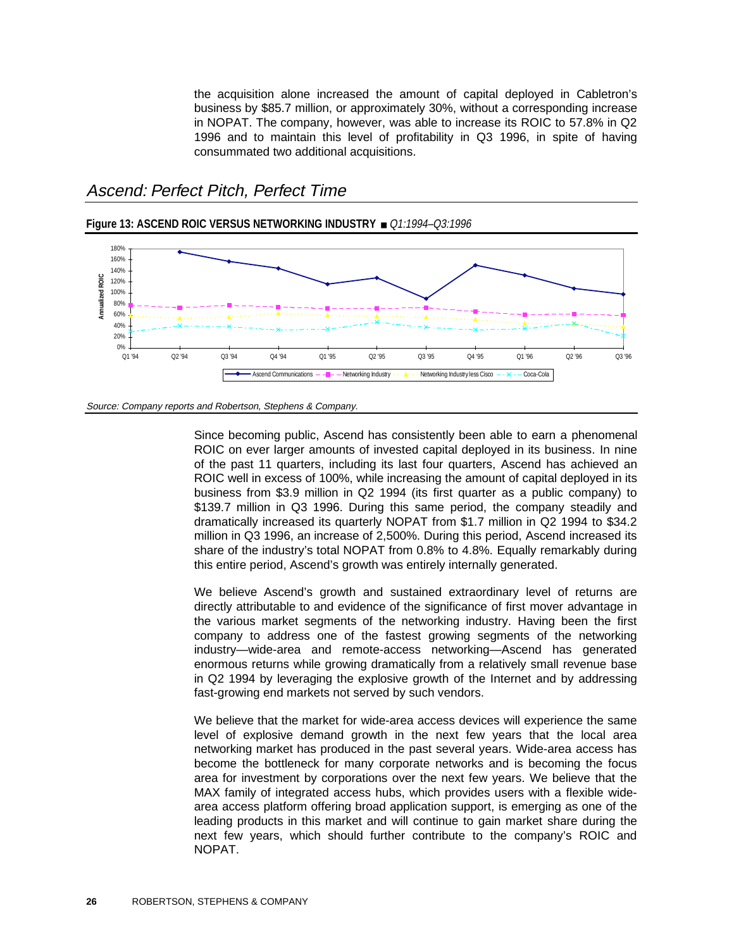the acquisition alone increased the amount of capital deployed in Cabletron's business by \$85.7 million, or approximately 30%, without a corresponding increase in NOPAT. The company, however, was able to increase its ROIC to 57.8% in Q2 1996 and to maintain this level of profitability in Q3 1996, in spite of having consummated two additional acquisitions.

# Ascend: Perfect Pitch, Perfect Time



#### **Figure 13: ASCEND ROIC VERSUS NETWORKING INDUSTRY** ■ Q1:1994–Q3:1996

Source: Company reports and Robertson, Stephens & Company.

Since becoming public, Ascend has consistently been able to earn a phenomenal ROIC on ever larger amounts of invested capital deployed in its business. In nine of the past 11 quarters, including its last four quarters, Ascend has achieved an ROIC well in excess of 100%, while increasing the amount of capital deployed in its business from \$3.9 million in Q2 1994 (its first quarter as a public company) to \$139.7 million in Q3 1996. During this same period, the company steadily and dramatically increased its quarterly NOPAT from \$1.7 million in Q2 1994 to \$34.2 million in Q3 1996, an increase of 2,500%. During this period, Ascend increased its share of the industry's total NOPAT from 0.8% to 4.8%. Equally remarkably during this entire period, Ascend's growth was entirely internally generated.

We believe Ascend's growth and sustained extraordinary level of returns are directly attributable to and evidence of the significance of first mover advantage in the various market segments of the networking industry. Having been the first company to address one of the fastest growing segments of the networking industry—wide-area and remote-access networking—Ascend has generated enormous returns while growing dramatically from a relatively small revenue base in Q2 1994 by leveraging the explosive growth of the Internet and by addressing fast-growing end markets not served by such vendors.

We believe that the market for wide-area access devices will experience the same level of explosive demand growth in the next few years that the local area networking market has produced in the past several years. Wide-area access has become the bottleneck for many corporate networks and is becoming the focus area for investment by corporations over the next few years. We believe that the MAX family of integrated access hubs, which provides users with a flexible widearea access platform offering broad application support, is emerging as one of the leading products in this market and will continue to gain market share during the next few years, which should further contribute to the company's ROIC and NOPAT.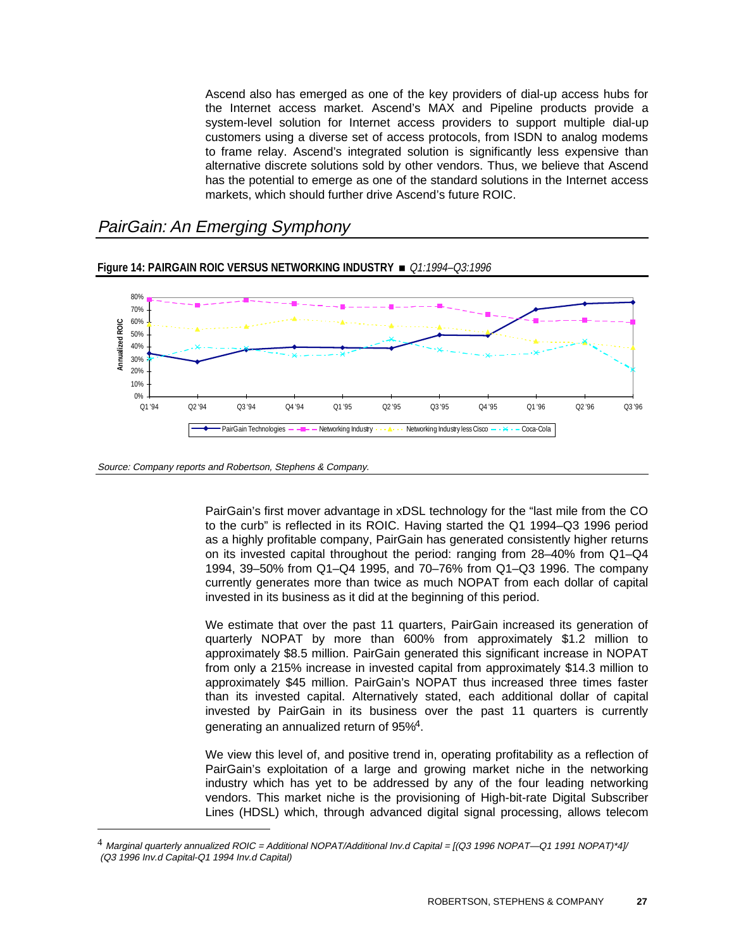Ascend also has emerged as one of the key providers of dial-up access hubs for the Internet access market. Ascend's MAX and Pipeline products provide a system-level solution for Internet access providers to support multiple dial-up customers using a diverse set of access protocols, from ISDN to analog modems to frame relay. Ascend's integrated solution is significantly less expensive than alternative discrete solutions sold by other vendors. Thus, we believe that Ascend has the potential to emerge as one of the standard solutions in the Internet access markets, which should further drive Ascend's future ROIC.

### **Figure 14: PAIRGAIN ROIC VERSUS NETWORKING INDUSTRY** ■ Q1:1994–Q3:1996 80% 70% 60% Annualized ROIC **Annualized ROIC** 50% 40% 30% 20% 10% 0% Q1 '94 Q2 '94 Q3 '94 Q4 '94 Q1 '95 Q2 '95 Q3 '95 Q4 '95 Q1 '96 Q2 '96 Q3 '96 PairGain Technologies  $-$  - - - Networking Industry  $-$  -  $\blacktriangle$  - - Networking Industry less Cisco  $-$  -  $\times$  - - Coca-Cola

# PairGain: An Emerging Symphony



-

PairGain's first mover advantage in xDSL technology for the "last mile from the CO to the curb" is reflected in its ROIC. Having started the Q1 1994–Q3 1996 period as a highly profitable company, PairGain has generated consistently higher returns on its invested capital throughout the period: ranging from 28–40% from Q1–Q4 1994, 39–50% from Q1–Q4 1995, and 70–76% from Q1–Q3 1996. The company currently generates more than twice as much NOPAT from each dollar of capital invested in its business as it did at the beginning of this period.

We estimate that over the past 11 quarters, PairGain increased its generation of quarterly NOPAT by more than 600% from approximately \$1.2 million to approximately \$8.5 million. PairGain generated this significant increase in NOPAT from only a 215% increase in invested capital from approximately \$14.3 million to approximately \$45 million. PairGain's NOPAT thus increased three times faster than its invested capital. Alternatively stated, each additional dollar of capital invested by PairGain in its business over the past 11 quarters is currently generating an annualized return of 95%4.

We view this level of, and positive trend in, operating profitability as a reflection of PairGain's exploitation of a large and growing market niche in the networking industry which has yet to be addressed by any of the four leading networking vendors. This market niche is the provisioning of High-bit-rate Digital Subscriber Lines (HDSL) which, through advanced digital signal processing, allows telecom

 $^4$  Marginal quarterly annualized ROIC = Additional NOPAT/Additional Inv.d Capital = [(Q3 1996 NOPAT—Q1 1991 NOPAT)\*4]/ (Q3 1996 Inv.d Capital-Q1 1994 Inv.d Capital)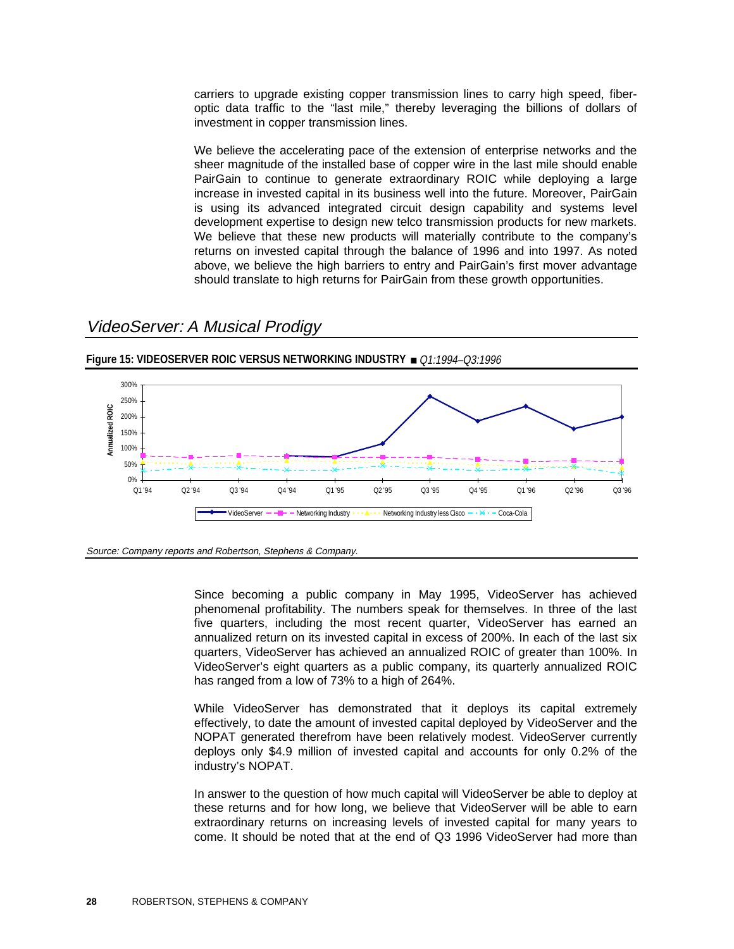carriers to upgrade existing copper transmission lines to carry high speed, fiberoptic data traffic to the "last mile," thereby leveraging the billions of dollars of investment in copper transmission lines.

We believe the accelerating pace of the extension of enterprise networks and the sheer magnitude of the installed base of copper wire in the last mile should enable PairGain to continue to generate extraordinary ROIC while deploying a large increase in invested capital in its business well into the future. Moreover, PairGain is using its advanced integrated circuit design capability and systems level development expertise to design new telco transmission products for new markets. We believe that these new products will materially contribute to the company's returns on invested capital through the balance of 1996 and into 1997. As noted above, we believe the high barriers to entry and PairGain's first mover advantage should translate to high returns for PairGain from these growth opportunities.

### VideoServer: A Musical Prodigy





#### Source: Company reports and Robertson, Stephens & Company.

Since becoming a public company in May 1995, VideoServer has achieved phenomenal profitability. The numbers speak for themselves. In three of the last five quarters, including the most recent quarter, VideoServer has earned an annualized return on its invested capital in excess of 200%. In each of the last six quarters, VideoServer has achieved an annualized ROIC of greater than 100%. In VideoServer's eight quarters as a public company, its quarterly annualized ROIC has ranged from a low of 73% to a high of 264%.

While VideoServer has demonstrated that it deploys its capital extremely effectively, to date the amount of invested capital deployed by VideoServer and the NOPAT generated therefrom have been relatively modest. VideoServer currently deploys only \$4.9 million of invested capital and accounts for only 0.2% of the industry's NOPAT.

In answer to the question of how much capital will VideoServer be able to deploy at these returns and for how long, we believe that VideoServer will be able to earn extraordinary returns on increasing levels of invested capital for many years to come. It should be noted that at the end of Q3 1996 VideoServer had more than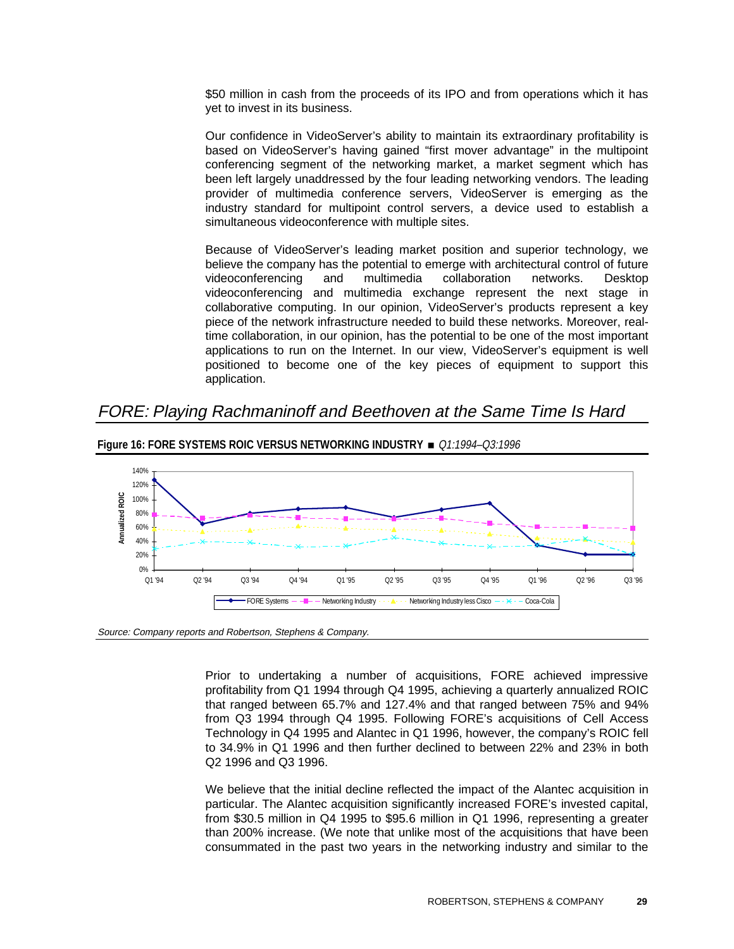\$50 million in cash from the proceeds of its IPO and from operations which it has yet to invest in its business.

Our confidence in VideoServer's ability to maintain its extraordinary profitability is based on VideoServer's having gained "first mover advantage" in the multipoint conferencing segment of the networking market, a market segment which has been left largely unaddressed by the four leading networking vendors. The leading provider of multimedia conference servers, VideoServer is emerging as the industry standard for multipoint control servers, a device used to establish a simultaneous videoconference with multiple sites.

Because of VideoServer's leading market position and superior technology, we believe the company has the potential to emerge with architectural control of future videoconferencing and multimedia collaboration networks. Desktop videoconferencing and multimedia exchange represent the next stage in collaborative computing. In our opinion, VideoServer's products represent a key piece of the network infrastructure needed to build these networks. Moreover, realtime collaboration, in our opinion, has the potential to be one of the most important applications to run on the Internet. In our view, VideoServer's equipment is well positioned to become one of the key pieces of equipment to support this application.

FORE: Playing Rachmaninoff and Beethoven at the Same Time Is Hard



**Figure 16: FORE SYSTEMS ROIC VERSUS NETWORKING INDUSTRY** ■ Q1:1994–Q3:1996



Prior to undertaking a number of acquisitions, FORE achieved impressive profitability from Q1 1994 through Q4 1995, achieving a quarterly annualized ROIC that ranged between 65.7% and 127.4% and that ranged between 75% and 94% from Q3 1994 through Q4 1995. Following FORE's acquisitions of Cell Access Technology in Q4 1995 and Alantec in Q1 1996, however, the company's ROIC fell to 34.9% in Q1 1996 and then further declined to between 22% and 23% in both Q2 1996 and Q3 1996.

We believe that the initial decline reflected the impact of the Alantec acquisition in particular. The Alantec acquisition significantly increased FORE's invested capital, from \$30.5 million in Q4 1995 to \$95.6 million in Q1 1996, representing a greater than 200% increase. (We note that unlike most of the acquisitions that have been consummated in the past two years in the networking industry and similar to the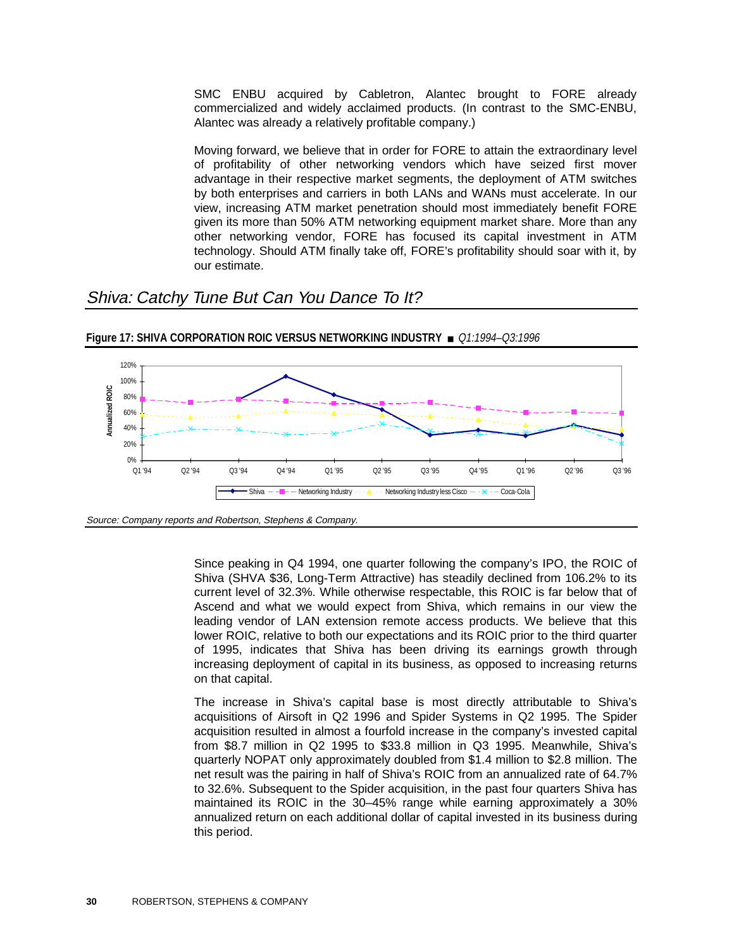SMC ENBU acquired by Cabletron, Alantec brought to FORE already commercialized and widely acclaimed products. (In contrast to the SMC-ENBU, Alantec was already a relatively profitable company.)

Moving forward, we believe that in order for FORE to attain the extraordinary level of profitability of other networking vendors which have seized first mover advantage in their respective market segments, the deployment of ATM switches by both enterprises and carriers in both LANs and WANs must accelerate. In our view, increasing ATM market penetration should most immediately benefit FORE given its more than 50% ATM networking equipment market share. More than any other networking vendor, FORE has focused its capital investment in ATM technology. Should ATM finally take off, FORE's profitability should soar with it, by our estimate.

# Shiva: Catchy Tune But Can You Dance To It?



**Figure 17: SHIVA CORPORATION ROIC VERSUS NETWORKING INDUSTRY** ■Q1:1994–Q3:1996

Source: Company reports and Robertson, Stephens & Company.

Since peaking in Q4 1994, one quarter following the company's IPO, the ROIC of Shiva (SHVA \$36, Long-Term Attractive) has steadily declined from 106.2% to its current level of 32.3%. While otherwise respectable, this ROIC is far below that of Ascend and what we would expect from Shiva, which remains in our view the leading vendor of LAN extension remote access products. We believe that this lower ROIC, relative to both our expectations and its ROIC prior to the third quarter of 1995, indicates that Shiva has been driving its earnings growth through increasing deployment of capital in its business, as opposed to increasing returns on that capital.

The increase in Shiva's capital base is most directly attributable to Shiva's acquisitions of Airsoft in Q2 1996 and Spider Systems in Q2 1995. The Spider acquisition resulted in almost a fourfold increase in the company's invested capital from \$8.7 million in Q2 1995 to \$33.8 million in Q3 1995. Meanwhile, Shiva's quarterly NOPAT only approximately doubled from \$1.4 million to \$2.8 million. The net result was the pairing in half of Shiva's ROIC from an annualized rate of 64.7% to 32.6%. Subsequent to the Spider acquisition, in the past four quarters Shiva has maintained its ROIC in the 30–45% range while earning approximately a 30% annualized return on each additional dollar of capital invested in its business during this period.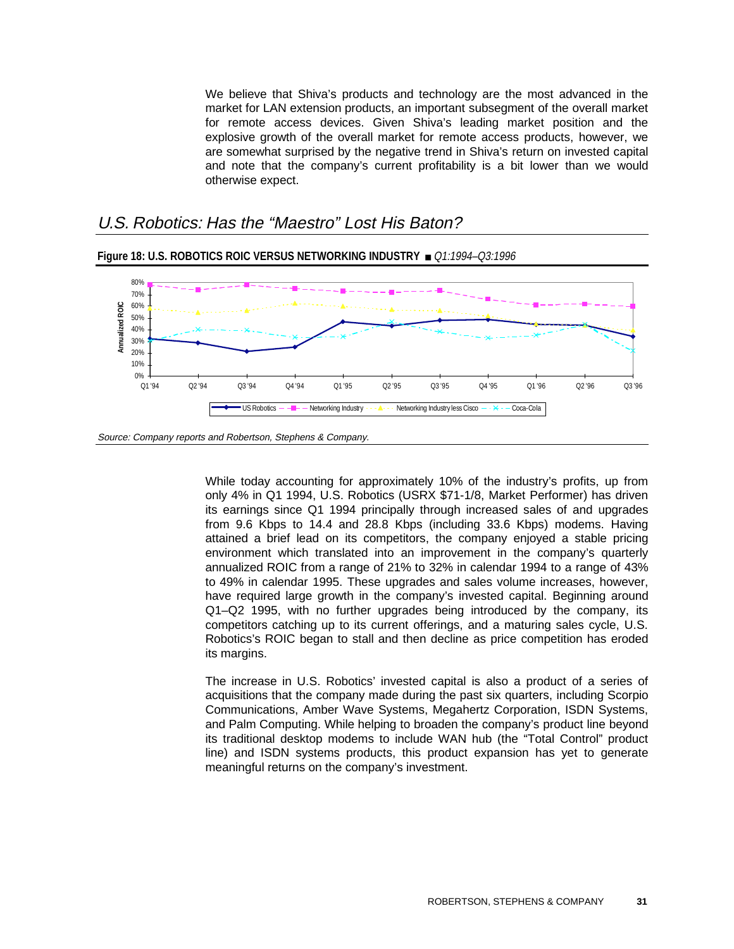We believe that Shiva's products and technology are the most advanced in the market for LAN extension products, an important subsegment of the overall market for remote access devices. Given Shiva's leading market position and the explosive growth of the overall market for remote access products, however, we are somewhat surprised by the negative trend in Shiva's return on invested capital and note that the company's current profitability is a bit lower than we would otherwise expect.

# U.S. Robotics: Has the "Maestro" Lost His Baton?





While today accounting for approximately 10% of the industry's profits, up from only 4% in Q1 1994, U.S. Robotics (USRX \$71-1/8, Market Performer) has driven its earnings since Q1 1994 principally through increased sales of and upgrades from 9.6 Kbps to 14.4 and 28.8 Kbps (including 33.6 Kbps) modems. Having attained a brief lead on its competitors, the company enjoyed a stable pricing environment which translated into an improvement in the company's quarterly annualized ROIC from a range of 21% to 32% in calendar 1994 to a range of 43% to 49% in calendar 1995. These upgrades and sales volume increases, however, have required large growth in the company's invested capital. Beginning around Q1–Q2 1995, with no further upgrades being introduced by the company, its competitors catching up to its current offerings, and a maturing sales cycle, U.S. Robotics's ROIC began to stall and then decline as price competition has eroded its margins.

The increase in U.S. Robotics' invested capital is also a product of a series of acquisitions that the company made during the past six quarters, including Scorpio Communications, Amber Wave Systems, Megahertz Corporation, ISDN Systems, and Palm Computing. While helping to broaden the company's product line beyond its traditional desktop modems to include WAN hub (the "Total Control" product line) and ISDN systems products, this product expansion has yet to generate meaningful returns on the company's investment.

Source: Company reports and Robertson, Stephens & Company.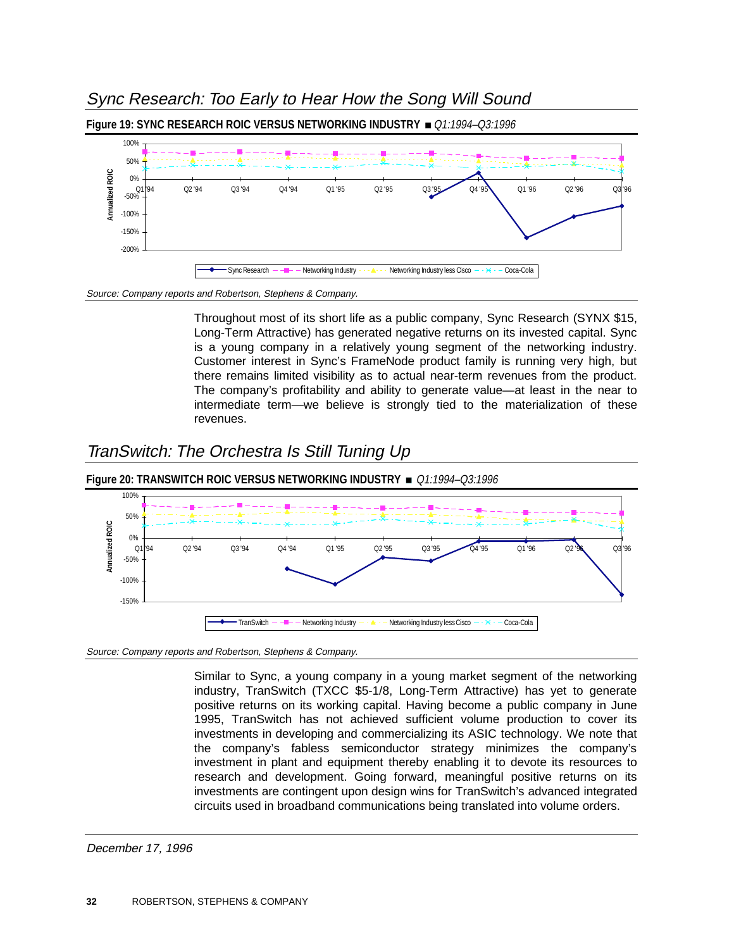Sync Research: Too Early to Hear How the Song Will Sound



**Figure 19: SYNC RESEARCH ROIC VERSUS NETWORKING INDUSTRY** ■ Q1:1994–Q3:1996

Throughout most of its short life as a public company, Sync Research (SYNX \$15, Long-Term Attractive) has generated negative returns on its invested capital. Sync is a young company in a relatively young segment of the networking industry. Customer interest in Sync's FrameNode product family is running very high, but there remains limited visibility as to actual near-term revenues from the product. The company's profitability and ability to generate value—at least in the near to intermediate term—we believe is strongly tied to the materialization of these revenues.

# TranSwitch: The Orchestra Is Still Tuning Up



**Figure 20: TRANSWITCH ROIC VERSUS NETWORKING INDUSTRY** ■ Q1:1994–Q3:1996

Source: Company reports and Robertson, Stephens & Company.

Similar to Sync, a young company in a young market segment of the networking industry, TranSwitch (TXCC \$5-1/8, Long-Term Attractive) has yet to generate positive returns on its working capital. Having become a public company in June 1995, TranSwitch has not achieved sufficient volume production to cover its investments in developing and commercializing its ASIC technology. We note that the company's fabless semiconductor strategy minimizes the company's investment in plant and equipment thereby enabling it to devote its resources to research and development. Going forward, meaningful positive returns on its investments are contingent upon design wins for TranSwitch's advanced integrated circuits used in broadband communications being translated into volume orders.

December 17, 1996

Source: Company reports and Robertson, Stephens & Company.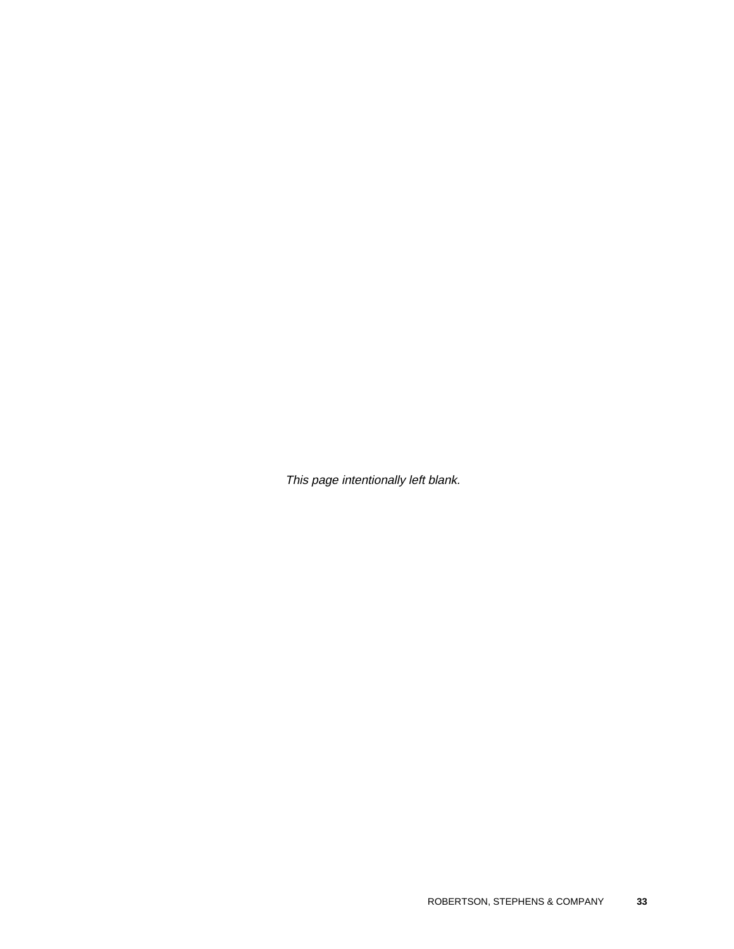This page intentionally left blank.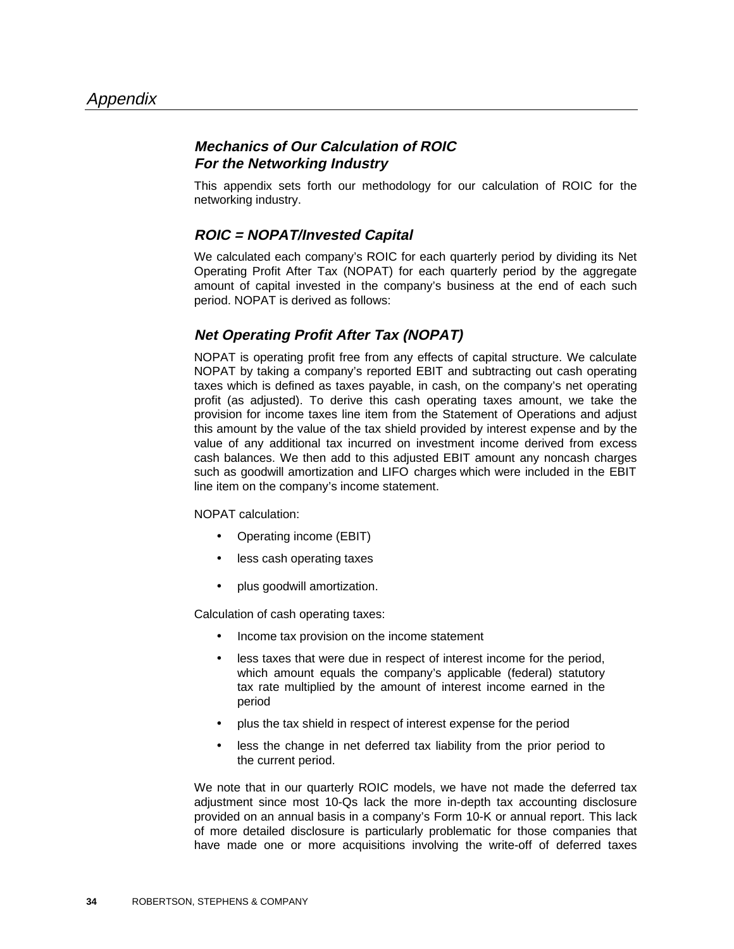### **Mechanics of Our Calculation of ROIC For the Networking Industry**

This appendix sets forth our methodology for our calculation of ROIC for the networking industry.

### **ROIC = NOPAT/Invested Capital**

We calculated each company's ROIC for each quarterly period by dividing its Net Operating Profit After Tax (NOPAT) for each quarterly period by the aggregate amount of capital invested in the company's business at the end of each such period. NOPAT is derived as follows:

### **Net Operating Profit After Tax (NOPAT)**

NOPAT is operating profit free from any effects of capital structure. We calculate NOPAT by taking a company's reported EBIT and subtracting out cash operating taxes which is defined as taxes payable, in cash, on the company's net operating profit (as adjusted). To derive this cash operating taxes amount, we take the provision for income taxes line item from the Statement of Operations and adjust this amount by the value of the tax shield provided by interest expense and by the value of any additional tax incurred on investment income derived from excess cash balances. We then add to this adjusted EBIT amount any noncash charges such as goodwill amortization and LIFO charges which were included in the EBIT line item on the company's income statement.

NOPAT calculation:

- Operating income (EBIT)
- less cash operating taxes
- plus goodwill amortization.

Calculation of cash operating taxes:

- Income tax provision on the income statement
- less taxes that were due in respect of interest income for the period, which amount equals the company's applicable (federal) statutory tax rate multiplied by the amount of interest income earned in the period
- plus the tax shield in respect of interest expense for the period
- less the change in net deferred tax liability from the prior period to the current period.

We note that in our quarterly ROIC models, we have not made the deferred tax adjustment since most 10-Qs lack the more in-depth tax accounting disclosure provided on an annual basis in a company's Form 10-K or annual report. This lack of more detailed disclosure is particularly problematic for those companies that have made one or more acquisitions involving the write-off of deferred taxes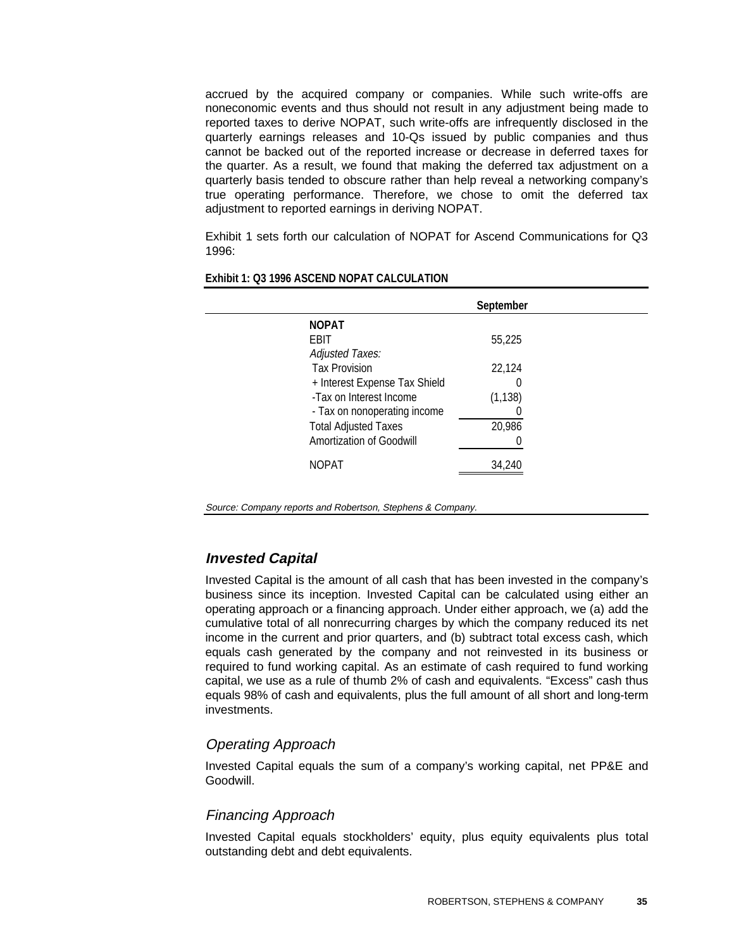accrued by the acquired company or companies. While such write-offs are noneconomic events and thus should not result in any adjustment being made to reported taxes to derive NOPAT, such write-offs are infrequently disclosed in the quarterly earnings releases and 10-Qs issued by public companies and thus cannot be backed out of the reported increase or decrease in deferred taxes for the quarter. As a result, we found that making the deferred tax adjustment on a quarterly basis tended to obscure rather than help reveal a networking company's true operating performance. Therefore, we chose to omit the deferred tax adjustment to reported earnings in deriving NOPAT.

Exhibit 1 sets forth our calculation of NOPAT for Ascend Communications for Q3 1996:

|                               | September |  |
|-------------------------------|-----------|--|
| <b>NOPAT</b>                  |           |  |
| EBIT                          | 55,225    |  |
| <b>Adjusted Taxes:</b>        |           |  |
| <b>Tax Provision</b>          | 22,124    |  |
| + Interest Expense Tax Shield | 0         |  |
| -Tax on Interest Income       | (1, 138)  |  |
| - Tax on nonoperating income  |           |  |
| <b>Total Adjusted Taxes</b>   | 20,986    |  |
| Amortization of Goodwill      |           |  |
| <b>NOPAT</b>                  | 34,240    |  |
|                               |           |  |

#### **Exhibit 1: Q3 1996 ASCEND NOPAT CALCULATION**

Source: Company reports and Robertson, Stephens & Company.

### **Invested Capital**

Invested Capital is the amount of all cash that has been invested in the company's business since its inception. Invested Capital can be calculated using either an operating approach or a financing approach. Under either approach, we (a) add the cumulative total of all nonrecurring charges by which the company reduced its net income in the current and prior quarters, and (b) subtract total excess cash, which equals cash generated by the company and not reinvested in its business or required to fund working capital. As an estimate of cash required to fund working capital, we use as a rule of thumb 2% of cash and equivalents. "Excess" cash thus equals 98% of cash and equivalents, plus the full amount of all short and long-term investments.

### Operating Approach

Invested Capital equals the sum of a company's working capital, net PP&E and Goodwill.

### Financing Approach

Invested Capital equals stockholders' equity, plus equity equivalents plus total outstanding debt and debt equivalents.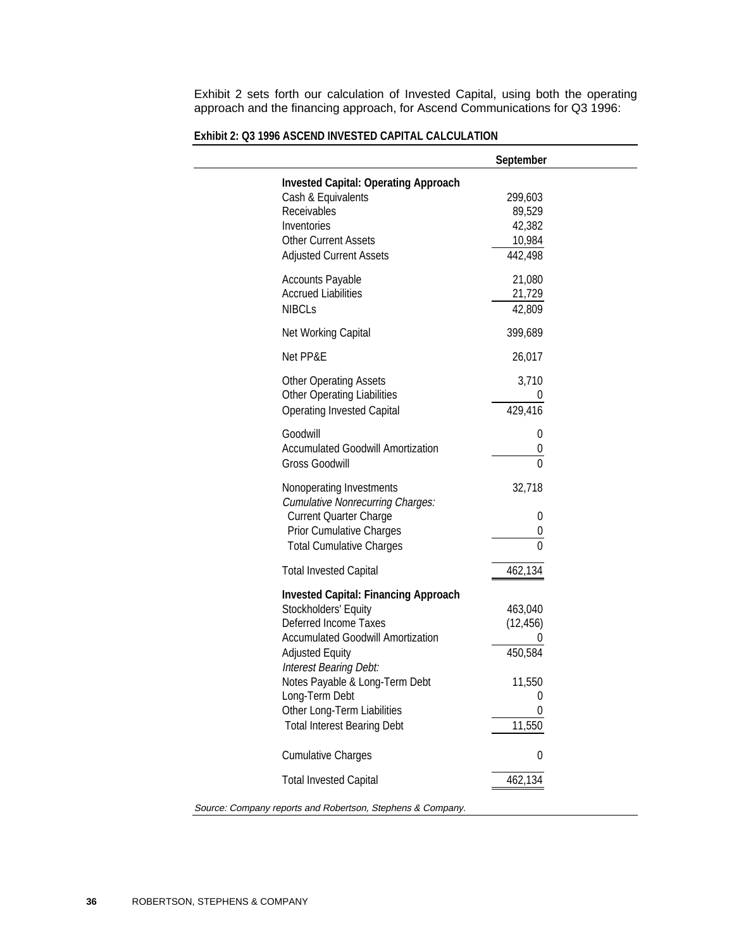Exhibit 2 sets forth our calculation of Invested Capital, using both the operating approach and the financing approach, for Ascend Communications for Q3 1996:

| <b>Invested Capital: Operating Approach</b><br>Cash & Equivalents<br>299,603<br>Receivables<br>89,529<br>Inventories<br>42,382<br><b>Other Current Assets</b><br>10,984<br><b>Adjusted Current Assets</b><br>442,498<br><b>Accounts Payable</b><br>21,080<br><b>Accrued Liabilities</b><br>21,729<br><b>NIBCLs</b><br>42,809<br>Net Working Capital<br>399,689<br>Net PP&E<br>26,017<br><b>Other Operating Assets</b><br>3,710<br><b>Other Operating Liabilities</b><br><b>Operating Invested Capital</b><br>429,416<br>Goodwill<br>0<br><b>Accumulated Goodwill Amortization</b><br>0<br>0<br><b>Gross Goodwill</b><br>Nonoperating Investments<br>32,718<br><b>Cumulative Nonrecurring Charges:</b><br><b>Current Quarter Charge</b><br>0<br><b>Prior Cumulative Charges</b><br>0<br>$\Omega$<br><b>Total Cumulative Charges</b><br><b>Total Invested Capital</b><br>462,134<br><b>Invested Capital: Financing Approach</b><br>Stockholders' Equity<br>463,040<br>Deferred Income Taxes<br>(12, 456)<br><b>Accumulated Goodwill Amortization</b><br>0<br>450,584<br><b>Adjusted Equity</b><br>Interest Bearing Debt:<br>Notes Payable & Long-Term Debt<br>11,550<br>Long-Term Debt<br>0<br>Other Long-Term Liabilities<br>0<br>11,550<br><b>Total Interest Bearing Debt</b><br><b>Cumulative Charges</b><br>$\mathbf{0}$<br>462,134<br><b>Total Invested Capital</b><br>Source: Company reports and Robertson, Stephens & Company. | September |  |
|--------------------------------------------------------------------------------------------------------------------------------------------------------------------------------------------------------------------------------------------------------------------------------------------------------------------------------------------------------------------------------------------------------------------------------------------------------------------------------------------------------------------------------------------------------------------------------------------------------------------------------------------------------------------------------------------------------------------------------------------------------------------------------------------------------------------------------------------------------------------------------------------------------------------------------------------------------------------------------------------------------------------------------------------------------------------------------------------------------------------------------------------------------------------------------------------------------------------------------------------------------------------------------------------------------------------------------------------------------------------------------------------------------------------------------------|-----------|--|
|                                                                                                                                                                                                                                                                                                                                                                                                                                                                                                                                                                                                                                                                                                                                                                                                                                                                                                                                                                                                                                                                                                                                                                                                                                                                                                                                                                                                                                      |           |  |
|                                                                                                                                                                                                                                                                                                                                                                                                                                                                                                                                                                                                                                                                                                                                                                                                                                                                                                                                                                                                                                                                                                                                                                                                                                                                                                                                                                                                                                      |           |  |
|                                                                                                                                                                                                                                                                                                                                                                                                                                                                                                                                                                                                                                                                                                                                                                                                                                                                                                                                                                                                                                                                                                                                                                                                                                                                                                                                                                                                                                      |           |  |
|                                                                                                                                                                                                                                                                                                                                                                                                                                                                                                                                                                                                                                                                                                                                                                                                                                                                                                                                                                                                                                                                                                                                                                                                                                                                                                                                                                                                                                      |           |  |
|                                                                                                                                                                                                                                                                                                                                                                                                                                                                                                                                                                                                                                                                                                                                                                                                                                                                                                                                                                                                                                                                                                                                                                                                                                                                                                                                                                                                                                      |           |  |
|                                                                                                                                                                                                                                                                                                                                                                                                                                                                                                                                                                                                                                                                                                                                                                                                                                                                                                                                                                                                                                                                                                                                                                                                                                                                                                                                                                                                                                      |           |  |
|                                                                                                                                                                                                                                                                                                                                                                                                                                                                                                                                                                                                                                                                                                                                                                                                                                                                                                                                                                                                                                                                                                                                                                                                                                                                                                                                                                                                                                      |           |  |
|                                                                                                                                                                                                                                                                                                                                                                                                                                                                                                                                                                                                                                                                                                                                                                                                                                                                                                                                                                                                                                                                                                                                                                                                                                                                                                                                                                                                                                      |           |  |
|                                                                                                                                                                                                                                                                                                                                                                                                                                                                                                                                                                                                                                                                                                                                                                                                                                                                                                                                                                                                                                                                                                                                                                                                                                                                                                                                                                                                                                      |           |  |
|                                                                                                                                                                                                                                                                                                                                                                                                                                                                                                                                                                                                                                                                                                                                                                                                                                                                                                                                                                                                                                                                                                                                                                                                                                                                                                                                                                                                                                      |           |  |
|                                                                                                                                                                                                                                                                                                                                                                                                                                                                                                                                                                                                                                                                                                                                                                                                                                                                                                                                                                                                                                                                                                                                                                                                                                                                                                                                                                                                                                      |           |  |
|                                                                                                                                                                                                                                                                                                                                                                                                                                                                                                                                                                                                                                                                                                                                                                                                                                                                                                                                                                                                                                                                                                                                                                                                                                                                                                                                                                                                                                      |           |  |
|                                                                                                                                                                                                                                                                                                                                                                                                                                                                                                                                                                                                                                                                                                                                                                                                                                                                                                                                                                                                                                                                                                                                                                                                                                                                                                                                                                                                                                      |           |  |
|                                                                                                                                                                                                                                                                                                                                                                                                                                                                                                                                                                                                                                                                                                                                                                                                                                                                                                                                                                                                                                                                                                                                                                                                                                                                                                                                                                                                                                      |           |  |
|                                                                                                                                                                                                                                                                                                                                                                                                                                                                                                                                                                                                                                                                                                                                                                                                                                                                                                                                                                                                                                                                                                                                                                                                                                                                                                                                                                                                                                      |           |  |
|                                                                                                                                                                                                                                                                                                                                                                                                                                                                                                                                                                                                                                                                                                                                                                                                                                                                                                                                                                                                                                                                                                                                                                                                                                                                                                                                                                                                                                      |           |  |
|                                                                                                                                                                                                                                                                                                                                                                                                                                                                                                                                                                                                                                                                                                                                                                                                                                                                                                                                                                                                                                                                                                                                                                                                                                                                                                                                                                                                                                      |           |  |
|                                                                                                                                                                                                                                                                                                                                                                                                                                                                                                                                                                                                                                                                                                                                                                                                                                                                                                                                                                                                                                                                                                                                                                                                                                                                                                                                                                                                                                      |           |  |
|                                                                                                                                                                                                                                                                                                                                                                                                                                                                                                                                                                                                                                                                                                                                                                                                                                                                                                                                                                                                                                                                                                                                                                                                                                                                                                                                                                                                                                      |           |  |
|                                                                                                                                                                                                                                                                                                                                                                                                                                                                                                                                                                                                                                                                                                                                                                                                                                                                                                                                                                                                                                                                                                                                                                                                                                                                                                                                                                                                                                      |           |  |
|                                                                                                                                                                                                                                                                                                                                                                                                                                                                                                                                                                                                                                                                                                                                                                                                                                                                                                                                                                                                                                                                                                                                                                                                                                                                                                                                                                                                                                      |           |  |
|                                                                                                                                                                                                                                                                                                                                                                                                                                                                                                                                                                                                                                                                                                                                                                                                                                                                                                                                                                                                                                                                                                                                                                                                                                                                                                                                                                                                                                      |           |  |
|                                                                                                                                                                                                                                                                                                                                                                                                                                                                                                                                                                                                                                                                                                                                                                                                                                                                                                                                                                                                                                                                                                                                                                                                                                                                                                                                                                                                                                      |           |  |
|                                                                                                                                                                                                                                                                                                                                                                                                                                                                                                                                                                                                                                                                                                                                                                                                                                                                                                                                                                                                                                                                                                                                                                                                                                                                                                                                                                                                                                      |           |  |
|                                                                                                                                                                                                                                                                                                                                                                                                                                                                                                                                                                                                                                                                                                                                                                                                                                                                                                                                                                                                                                                                                                                                                                                                                                                                                                                                                                                                                                      |           |  |
|                                                                                                                                                                                                                                                                                                                                                                                                                                                                                                                                                                                                                                                                                                                                                                                                                                                                                                                                                                                                                                                                                                                                                                                                                                                                                                                                                                                                                                      |           |  |
|                                                                                                                                                                                                                                                                                                                                                                                                                                                                                                                                                                                                                                                                                                                                                                                                                                                                                                                                                                                                                                                                                                                                                                                                                                                                                                                                                                                                                                      |           |  |
|                                                                                                                                                                                                                                                                                                                                                                                                                                                                                                                                                                                                                                                                                                                                                                                                                                                                                                                                                                                                                                                                                                                                                                                                                                                                                                                                                                                                                                      |           |  |
|                                                                                                                                                                                                                                                                                                                                                                                                                                                                                                                                                                                                                                                                                                                                                                                                                                                                                                                                                                                                                                                                                                                                                                                                                                                                                                                                                                                                                                      |           |  |
|                                                                                                                                                                                                                                                                                                                                                                                                                                                                                                                                                                                                                                                                                                                                                                                                                                                                                                                                                                                                                                                                                                                                                                                                                                                                                                                                                                                                                                      |           |  |
|                                                                                                                                                                                                                                                                                                                                                                                                                                                                                                                                                                                                                                                                                                                                                                                                                                                                                                                                                                                                                                                                                                                                                                                                                                                                                                                                                                                                                                      |           |  |
|                                                                                                                                                                                                                                                                                                                                                                                                                                                                                                                                                                                                                                                                                                                                                                                                                                                                                                                                                                                                                                                                                                                                                                                                                                                                                                                                                                                                                                      |           |  |
|                                                                                                                                                                                                                                                                                                                                                                                                                                                                                                                                                                                                                                                                                                                                                                                                                                                                                                                                                                                                                                                                                                                                                                                                                                                                                                                                                                                                                                      |           |  |
|                                                                                                                                                                                                                                                                                                                                                                                                                                                                                                                                                                                                                                                                                                                                                                                                                                                                                                                                                                                                                                                                                                                                                                                                                                                                                                                                                                                                                                      |           |  |
|                                                                                                                                                                                                                                                                                                                                                                                                                                                                                                                                                                                                                                                                                                                                                                                                                                                                                                                                                                                                                                                                                                                                                                                                                                                                                                                                                                                                                                      |           |  |
|                                                                                                                                                                                                                                                                                                                                                                                                                                                                                                                                                                                                                                                                                                                                                                                                                                                                                                                                                                                                                                                                                                                                                                                                                                                                                                                                                                                                                                      |           |  |
|                                                                                                                                                                                                                                                                                                                                                                                                                                                                                                                                                                                                                                                                                                                                                                                                                                                                                                                                                                                                                                                                                                                                                                                                                                                                                                                                                                                                                                      |           |  |

### **Exhibit 2: Q3 1996 ASCEND INVESTED CAPITAL CALCULATION**